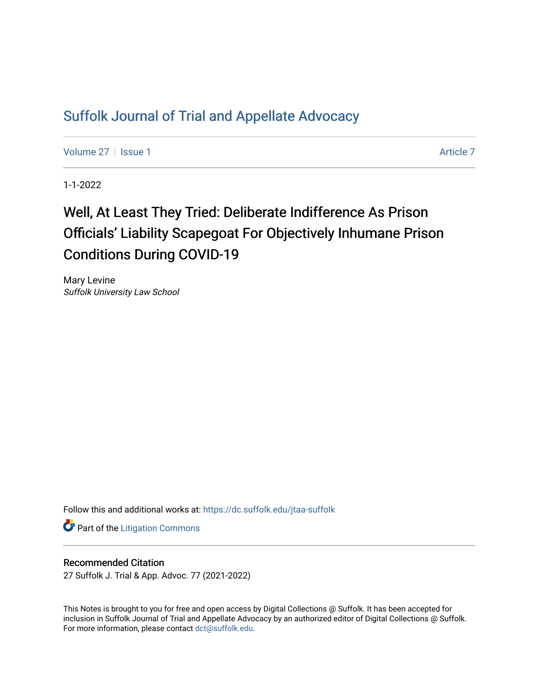## [Suffolk Journal of Trial and Appellate Advocacy](https://dc.suffolk.edu/jtaa-suffolk)

[Volume 27](https://dc.suffolk.edu/jtaa-suffolk/vol27) | [Issue 1](https://dc.suffolk.edu/jtaa-suffolk/vol27/iss1) Article 7

1-1-2022

# Well, At Least They Tried: Deliberate Indifference As Prison Officials' Liability Scapegoat For Objectively Inhumane Prison Conditions During COVID-19

Mary Levine Suffolk University Law School

Follow this and additional works at: [https://dc.suffolk.edu/jtaa-suffolk](https://dc.suffolk.edu/jtaa-suffolk?utm_source=dc.suffolk.edu%2Fjtaa-suffolk%2Fvol27%2Fiss1%2F7&utm_medium=PDF&utm_campaign=PDFCoverPages) 

**Part of the [Litigation Commons](https://network.bepress.com/hgg/discipline/910?utm_source=dc.suffolk.edu%2Fjtaa-suffolk%2Fvol27%2Fiss1%2F7&utm_medium=PDF&utm_campaign=PDFCoverPages)** 

## Recommended Citation

27 Suffolk J. Trial & App. Advoc. 77 (2021-2022)

This Notes is brought to you for free and open access by Digital Collections @ Suffolk. It has been accepted for inclusion in Suffolk Journal of Trial and Appellate Advocacy by an authorized editor of Digital Collections @ Suffolk. For more information, please contact [dct@suffolk.edu](mailto:dct@suffolk.edu).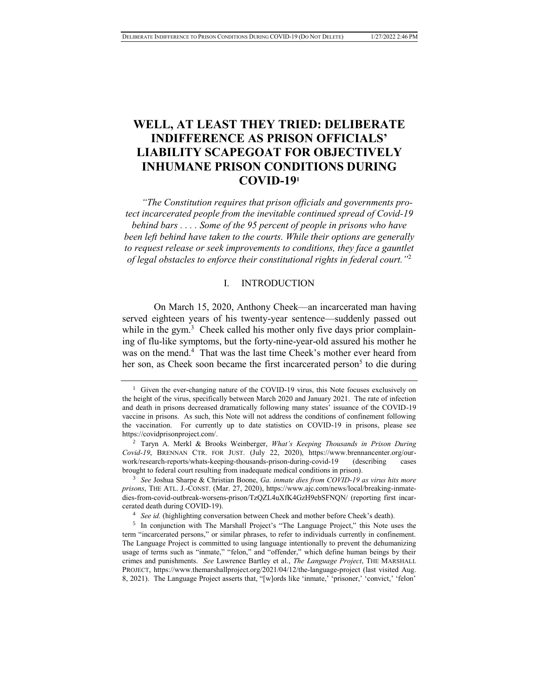## **WELL, AT LEAST THEY TRIED: DELIBERATE INDIFFERENCE AS PRISON OFFICIALS' LIABILITY SCAPEGOAT FOR OBJECTIVELY INHUMANE PRISON CONDITIONS DURING COVID-19<sup>1</sup>**

*"The Constitution requires that prison officials and governments protect incarcerated people from the inevitable continued spread of Covid-19 behind bars . . . . Some of the 95 percent of people in prisons who have been left behind have taken to the courts. While their options are generally to request release or seek improvements to conditions, they face a gauntlet of legal obstacles to enforce their constitutional rights in federal court."*<sup>2</sup>

#### I. INTRODUCTION

On March 15, 2020, Anthony Cheek—an incarcerated man having served eighteen years of his twenty-year sentence—suddenly passed out while in the gym.<sup>3</sup> Cheek called his mother only five days prior complaining of flu-like symptoms, but the forty-nine-year-old assured his mother he was on the mend.<sup>4</sup> That was the last time Cheek's mother ever heard from her son, as Cheek soon became the first incarcerated person<sup>5</sup> to die during

<sup>&</sup>lt;sup>1</sup> Given the ever-changing nature of the COVID-19 virus, this Note focuses exclusively on the height of the virus, specifically between March 2020 and January 2021. The rate of infection and death in prisons decreased dramatically following many states' issuance of the COVID-19 vaccine in prisons. As such, this Note will not address the conditions of confinement following the vaccination. For currently up to date statistics on COVID-19 in prisons, please see https://covidprisonproject.com/.

<sup>2</sup> Taryn A. Merkl & Brooks Weinberger, *What's Keeping Thousands in Prison During Covid-19*, BRENNAN CTR. FOR JUST. (July 22, 2020), https://www.brennancenter.org/ourwork/research-reports/whats-keeping-thousands-prison-during-covid-19 (describing cases brought to federal court resulting from inadequate medical conditions in prison).

<sup>3</sup> *See* Joshua Sharpe & Christian Boone, *Ga. inmate dies from COVID-19 as virus hits more prisons*, THE ATL. J.-CONST. (Mar. 27, 2020), https://www.ajc.com/news/local/breaking-inmatedies-from-covid-outbreak-worsens-prison/TzQZL4uXfK4GzH9ebSFNQN/ (reporting first incarcerated death during COVID-19).

<sup>4</sup> *See id.* (highlighting conversation between Cheek and mother before Cheek's death).

<sup>&</sup>lt;sup>5</sup> In conjunction with The Marshall Project's "The Language Project," this Note uses the term "incarcerated persons," or similar phrases, to refer to individuals currently in confinement. The Language Project is committed to using language intentionally to prevent the dehumanizing usage of terms such as "inmate," "felon," and "offender," which define human beings by their crimes and punishments. *See* Lawrence Bartley et al., *The Language Project*, THE MARSHALL PROJECT, https://www.themarshallproject.org/2021/04/12/the-language-project (last visited Aug. 8, 2021). The Language Project asserts that, "[w]ords like 'inmate,' 'prisoner,' 'convict,' 'felon'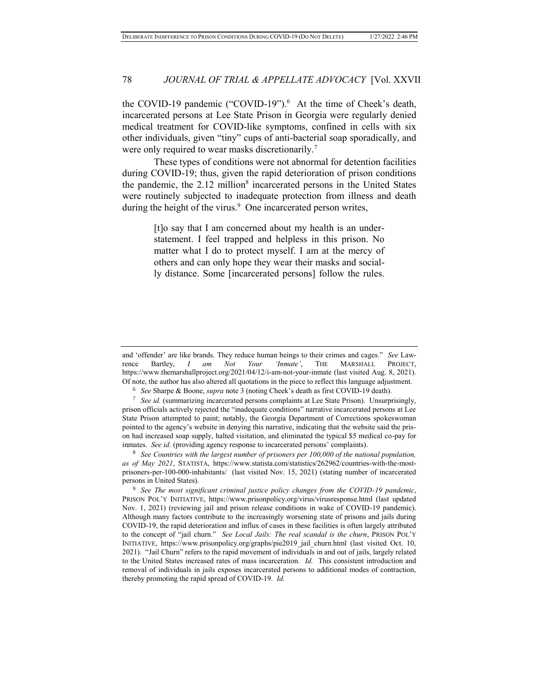the COVID-19 pandemic ("COVID-19").<sup>6</sup> At the time of Cheek's death, incarcerated persons at Lee State Prison in Georgia were regularly denied medical treatment for COVID-like symptoms, confined in cells with six other individuals, given "tiny" cups of anti-bacterial soap sporadically, and were only required to wear masks discretionarily.<sup>7</sup>

These types of conditions were not abnormal for detention facilities during COVID-19; thus, given the rapid deterioration of prison conditions the pandemic, the 2.12 million<sup>8</sup> incarcerated persons in the United States were routinely subjected to inadequate protection from illness and death during the height of the virus.<sup>9</sup> One incarcerated person writes,

> [t]o say that I am concerned about my health is an understatement. I feel trapped and helpless in this prison. No matter what I do to protect myself. I am at the mercy of others and can only hope they wear their masks and socially distance. Some [incarcerated persons] follow the rules.

and 'offender' are like brands. They reduce human beings to their crimes and cages." *See* Lawrence Bartley, *I am Not Your 'Inmate'*, THE MARSHALL PROJECT, https://www.themarshallproject.org/2021/04/12/i-am-not-your-inmate (last visited Aug. 8, 2021). Of note, the author has also altered all quotations in the piece to reflect this language adjustment.

<sup>6</sup> *See* Sharpe & Boone, *supra* note 3 (noting Cheek's death as first COVID-19 death).

<sup>7</sup> *See id.* (summarizing incarcerated persons complaints at Lee State Prison). Unsurprisingly, prison officials actively rejected the "inadequate conditions" narrative incarcerated persons at Lee State Prison attempted to paint; notably, the Georgia Department of Corrections spokeswoman pointed to the agency's website in denying this narrative, indicating that the website said the prison had increased soap supply, halted visitation, and eliminated the typical \$5 medical co-pay for inmates. *See id.* (providing agency response to incarcerated persons' complaints).

<sup>8</sup> *See Countries with the largest number of prisoners per 100,000 of the national population, as of May 2021*, STATISTA, https://www.statista.com/statistics/262962/countries-with-the-mostprisoners-per-100-000-inhabitants/ (last visited Nov. 15, 2021) (stating number of incarcerated persons in United States).

<sup>9</sup> *See The most significant criminal justice policy changes from the COVID-19 pandemic*, PRISON POL'Y INITIATIVE, https://www.prisonpolicy.org/virus/virusresponse.html (last updated Nov. 1, 2021) (reviewing jail and prison release conditions in wake of COVID-19 pandemic). Although many factors contribute to the increasingly worsening state of prisons and jails during COVID-19, the rapid deterioration and influx of cases in these facilities is often largely attributed to the concept of "jail churn." *See Local Jails: The real scandal is the churn*, PRISON POL'Y INITIATIVE, https://www.prisonpolicy.org/graphs/pie2019\_jail\_churn.html (last visited Oct. 10, 2021). "Jail Churn" refers to the rapid movement of individuals in and out of jails, largely related to the United States increased rates of mass incarceration. *Id.* This consistent introduction and removal of individuals in jails exposes incarcerated persons to additional modes of contraction, thereby promoting the rapid spread of COVID-19. *Id.*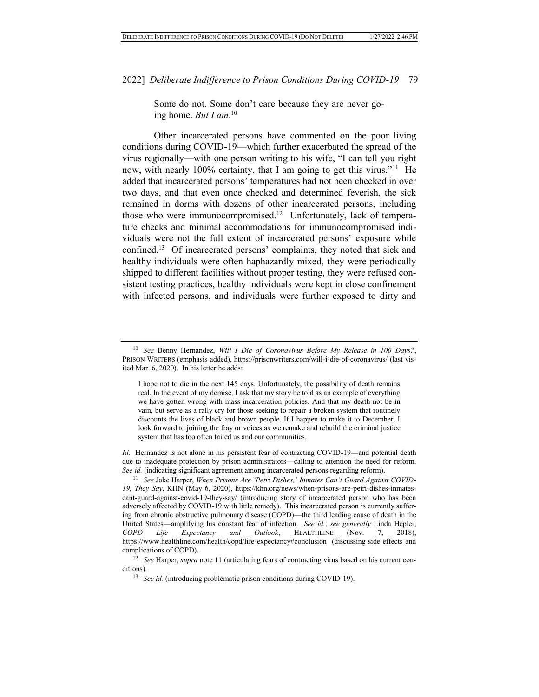Some do not. Some don't care because they are never going home. *But I am*. 10

Other incarcerated persons have commented on the poor living conditions during COVID-19—which further exacerbated the spread of the virus regionally—with one person writing to his wife, "I can tell you right now, with nearly 100% certainty, that I am going to get this virus."<sup>11</sup> He added that incarcerated persons' temperatures had not been checked in over two days, and that even once checked and determined feverish, the sick remained in dorms with dozens of other incarcerated persons, including those who were immunocompromised.<sup>12</sup> Unfortunately, lack of temperature checks and minimal accommodations for immunocompromised individuals were not the full extent of incarcerated persons' exposure while confined.<sup>13</sup> Of incarcerated persons' complaints, they noted that sick and healthy individuals were often haphazardly mixed, they were periodically shipped to different facilities without proper testing, they were refused consistent testing practices, healthy individuals were kept in close confinement with infected persons, and individuals were further exposed to dirty and

*Id.* Hernandez is not alone in his persistent fear of contracting COVID-19—and potential death due to inadequate protection by prison administrators—calling to attention the need for reform. *See id.* (indicating significant agreement among incarcerated persons regarding reform).

<sup>11</sup> *See* Jake Harper, *When Prisons Are 'Petri Dishes,' Inmates Can't Guard Against COVID-19, They Say*, KHN (May 6, 2020), https://khn.org/news/when-prisons-are-petri-dishes-inmatescant-guard-against-covid-19-they-say/ (introducing story of incarcerated person who has been adversely affected by COVID-19 with little remedy). This incarcerated person is currently suffering from chronic obstructive pulmonary disease (COPD)—the third leading cause of death in the United States—amplifying his constant fear of infection. *See id.*; *see generally* Linda Hepler, *COPD Life Expectancy and Outlook*, HEALTHLINE (Nov. 7, 2018), https://www.healthline.com/health/copd/life-expectancy#conclusion (discussing side effects and complications of COPD).

<sup>12</sup> *See* Harper, *supra* note 11 (articulating fears of contracting virus based on his current conditions).

<sup>10</sup> *See* Benny Hernandez, *Will I Die of Coronavirus Before My Release in 100 Days?*, PRISON WRITERS (emphasis added), https://prisonwriters.com/will-i-die-of-coronavirus/ (last visited Mar. 6, 2020). In his letter he adds:

I hope not to die in the next 145 days. Unfortunately, the possibility of death remains real. In the event of my demise, I ask that my story be told as an example of everything we have gotten wrong with mass incarceration policies. And that my death not be in vain, but serve as a rally cry for those seeking to repair a broken system that routinely discounts the lives of black and brown people. If I happen to make it to December, I look forward to joining the fray or voices as we remake and rebuild the criminal justice system that has too often failed us and our communities.

<sup>&</sup>lt;sup>13</sup> *See id.* (introducing problematic prison conditions during COVID-19).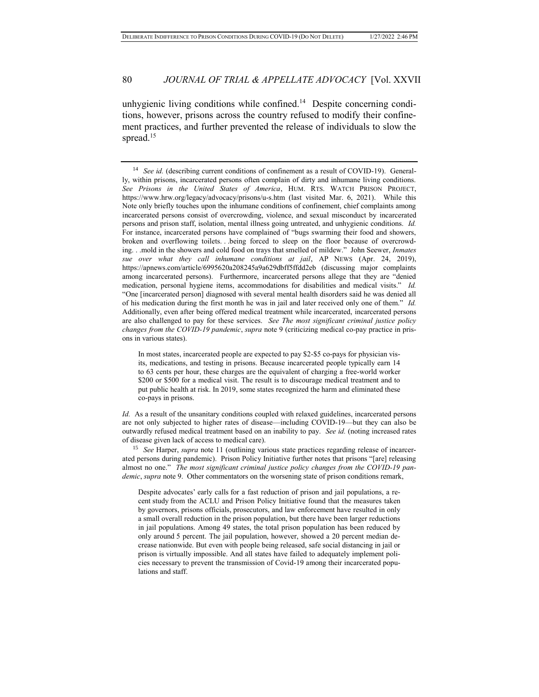unhygienic living conditions while confined.<sup>14</sup> Despite concerning conditions, however, prisons across the country refused to modify their confinement practices, and further prevented the release of individuals to slow the spread.<sup>15</sup>

<sup>&</sup>lt;sup>14</sup> *See id.* (describing current conditions of confinement as a result of COVID-19). Generally, within prisons, incarcerated persons often complain of dirty and inhumane living conditions. *See Prisons in the United States of America*, HUM. RTS. WATCH PRISON PROJECT, https://www.hrw.org/legacy/advocacy/prisons/u-s.htm (last visited Mar. 6, 2021). While this Note only briefly touches upon the inhumane conditions of confinement, chief complaints among incarcerated persons consist of overcrowding, violence, and sexual misconduct by incarcerated persons and prison staff, isolation, mental illness going untreated, and unhygienic conditions. *Id.* For instance, incarcerated persons have complained of "bugs swarming their food and showers, broken and overflowing toilets. . .being forced to sleep on the floor because of overcrowding. . .mold in the showers and cold food on trays that smelled of mildew." John Seewer, *Inmates sue over what they call inhumane conditions at jail*, AP NEWS (Apr. 24, 2019), https://apnews.com/article/6995620a208245a9a629dbff5ffdd2eb (discussing major complaints among incarcerated persons). Furthermore, incarcerated persons allege that they are "denied medication, personal hygiene items, accommodations for disabilities and medical visits." *Id.* "One [incarcerated person] diagnosed with several mental health disorders said he was denied all of his medication during the first month he was in jail and later received only one of them." *Id.*  Additionally, even after being offered medical treatment while incarcerated, incarcerated persons are also challenged to pay for these services. *See The most significant criminal justice policy changes from the COVID-19 pandemic*, *supra* note 9 (criticizing medical co-pay practice in prisons in various states).

In most states, incarcerated people are expected to pay \$2-\$5 co-pays for physician visits, medications, and testing in prisons. Because incarcerated people typically earn 14 to 63 cents per hour, these charges are the equivalent of charging a free-world worker \$200 or \$500 for a medical visit. The result is to discourage medical treatment and to put public health at risk. In 2019, some states recognized the harm and eliminated these co-pays in prisons.

*Id.* As a result of the unsanitary conditions coupled with relaxed guidelines, incarcerated persons are not only subjected to higher rates of disease—including COVID-19—but they can also be outwardly refused medical treatment based on an inability to pay. *See id.* (noting increased rates of disease given lack of access to medical care).

<sup>15</sup> *See* Harper, *supra* note 11 (outlining various state practices regarding release of incarcerated persons during pandemic). Prison Policy Initiative further notes that prisons "[are] releasing almost no one." *The most significant criminal justice policy changes from the COVID-19 pandemic*, *supra* note 9. Other commentators on the worsening state of prison conditions remark,

Despite advocates' early calls for a fast reduction of prison and jail populations, a recent study from the ACLU and Prison Policy Initiative found that the measures taken by governors, prisons officials, prosecutors, and law enforcement have resulted in only a small overall reduction in the prison population, but there have been larger reductions in jail populations. Among 49 states, the total prison population has been reduced by only around 5 percent. The jail population, however, showed a 20 percent median decrease nationwide. But even with people being released, safe social distancing in jail or prison is virtually impossible. And all states have failed to adequately implement policies necessary to prevent the transmission of Covid-19 among their incarcerated populations and staff.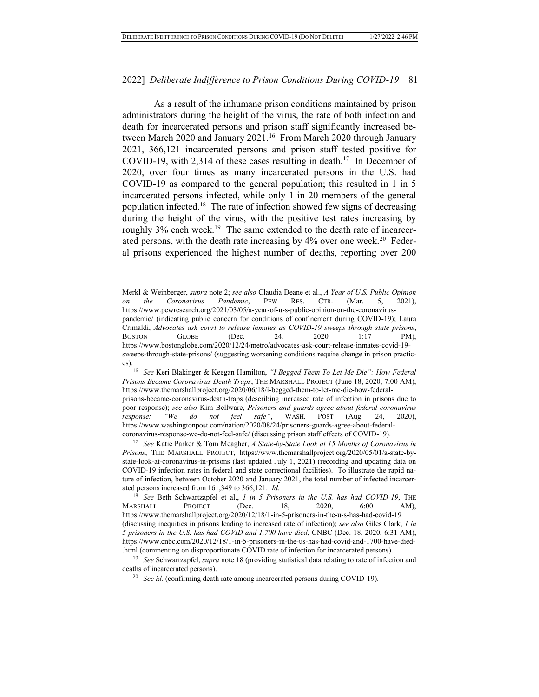As a result of the inhumane prison conditions maintained by prison administrators during the height of the virus, the rate of both infection and death for incarcerated persons and prison staff significantly increased between March 2020 and January 2021.<sup>16</sup> From March 2020 through January 2021, 366,121 incarcerated persons and prison staff tested positive for COVID-19, with 2,314 of these cases resulting in death.<sup>17</sup> In December of 2020, over four times as many incarcerated persons in the U.S. had COVID-19 as compared to the general population; this resulted in 1 in 5 incarcerated persons infected, while only 1 in 20 members of the general population infected.<sup>18</sup> The rate of infection showed few signs of decreasing during the height of the virus, with the positive test rates increasing by roughly 3% each week.<sup>19</sup> The same extended to the death rate of incarcerated persons, with the death rate increasing by 4% over one week.<sup>20</sup> Federal prisons experienced the highest number of deaths, reporting over 200

<sup>16</sup> *See* Keri Blakinger & Keegan Hamilton, *"I Begged Them To Let Me Die": How Federal Prisons Became Coronavirus Death Traps*, THE MARSHALL PROJECT (June 18, 2020, 7:00 AM), https://www.themarshallproject.org/2020/06/18/i-begged-them-to-let-me-die-how-federalprisons-became-coronavirus-death-traps (describing increased rate of infection in prisons due to poor response); *see also* Kim Bellware, *Prisoners and guards agree about federal coronavirus response: "We do not feel safe"*, WASH. POST (Aug. 24, 2020), https://www.washingtonpost.com/nation/2020/08/24/prisoners-guards-agree-about-federalcoronavirus-response-we-do-not-feel-safe/ (discussing prison staff effects of COVID-19).

<sup>17</sup> *See* Katie Parker & Tom Meagher, *A State-by-State Look at 15 Months of Coronavirus in Prisons*, THE MARSHALL PROJECT, https://www.themarshallproject.org/2020/05/01/a-state-bystate-look-at-coronavirus-in-prisons (last updated July 1, 2021) (recording and updating data on COVID-19 infection rates in federal and state correctional facilities). To illustrate the rapid nature of infection, between October 2020 and January 2021, the total number of infected incarcerated persons increased from 161,349 to 366,121. *Id.* 

<sup>18</sup> *See* Beth Schwartzapfel et al., *1 in 5 Prisoners in the U.S. has had COVID-19*, THE MARSHALL PROJECT (Dec. 18, 2020, 6:00 AM), https://www.themarshallproject.org/2020/12/18/1-in-5-prisoners-in-the-u-s-has-had-covid-19 (discussing inequities in prisons leading to increased rate of infection); *see also* Giles Clark, *1 in 5 prisoners in the U.S. has had COVID and 1,700 have died*, CNBC (Dec. 18, 2020, 6:31 AM), https://www.cnbc.com/2020/12/18/1-in-5-prisoners-in-the-us-has-had-covid-and-1700-have-died- .html (commenting on disproportionate COVID rate of infection for incarcerated persons).

<sup>19</sup> *See* Schwartzapfel, *supra* note 18 (providing statistical data relating to rate of infection and deaths of incarcerated persons).

<sup>20</sup> *See id.* (confirming death rate among incarcerated persons during COVID-19).

Merkl & Weinberger, *supra* note 2; *see also* Claudia Deane et al., *A Year of U.S. Public Opinion on the Coronavirus Pandemic*, PEW RES. CTR. (Mar. 5, 2021), https://www.pewresearch.org/2021/03/05/a-year-of-u-s-public-opinion-on-the-coronaviruspandemic/ (indicating public concern for conditions of confinement during COVID-19); Laura Crimaldi, *Advocates ask court to release inmates as COVID-19 sweeps through state prisons*, BOSTON GLOBE (Dec. 24, 2020 1:17 PM), https://www.bostonglobe.com/2020/12/24/metro/advocates-ask-court-release-inmates-covid-19 sweeps-through-state-prisons/ (suggesting worsening conditions require change in prison practices).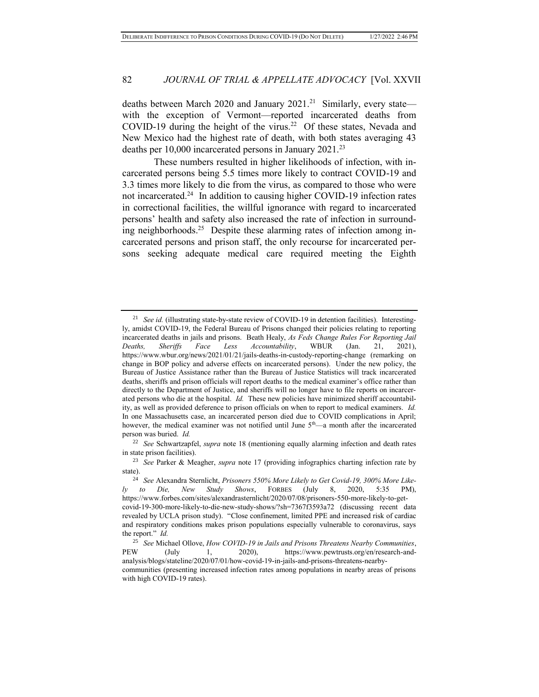deaths between March 2020 and January 2021.<sup>21</sup> Similarly, every state with the exception of Vermont—reported incarcerated deaths from COVID-19 during the height of the virus.<sup>22</sup> Of these states, Nevada and New Mexico had the highest rate of death, with both states averaging 43 deaths per 10,000 incarcerated persons in January 2021.<sup>23</sup>

These numbers resulted in higher likelihoods of infection, with incarcerated persons being 5.5 times more likely to contract COVID-19 and 3.3 times more likely to die from the virus, as compared to those who were not incarcerated.<sup>24</sup> In addition to causing higher COVID-19 infection rates in correctional facilities, the willful ignorance with regard to incarcerated persons' health and safety also increased the rate of infection in surrounding neighborhoods.<sup>25</sup> Despite these alarming rates of infection among incarcerated persons and prison staff, the only recourse for incarcerated persons seeking adequate medical care required meeting the Eighth

<sup>&</sup>lt;sup>21</sup> *See id.* (illustrating state-by-state review of COVID-19 in detention facilities). Interestingly, amidst COVID-19, the Federal Bureau of Prisons changed their policies relating to reporting incarcerated deaths in jails and prisons. Beath Healy, *As Feds Change Rules For Reporting Jail Deaths, Sheriffs Face Less Accountability*, WBUR (Jan. 21, 2021), https://www.wbur.org/news/2021/01/21/jails-deaths-in-custody-reporting-change (remarking on change in BOP policy and adverse effects on incarcerated persons). Under the new policy, the Bureau of Justice Assistance rather than the Bureau of Justice Statistics will track incarcerated deaths, sheriffs and prison officials will report deaths to the medical examiner's office rather than directly to the Department of Justice, and sheriffs will no longer have to file reports on incarcerated persons who die at the hospital. *Id.* These new policies have minimized sheriff accountability, as well as provided deference to prison officials on when to report to medical examiners. *Id.* In one Massachusetts case, an incarcerated person died due to COVID complications in April; however, the medical examiner was not notified until June  $5<sup>th</sup>$ —a month after the incarcerated person was buried. *Id.*

<sup>22</sup> *See* Schwartzapfel, *supra* note 18 (mentioning equally alarming infection and death rates in state prison facilities).

<sup>23</sup> *See* Parker & Meagher, *supra* note 17 (providing infographics charting infection rate by state).

<sup>24</sup> *See* Alexandra Sternlicht, *Prisoners 550% More Likely to Get Covid-19, 300% More Likely to Die, New Study Shows*, FORBES (July 8, 2020, 5:35 PM), https://www.forbes.com/sites/alexandrasternlicht/2020/07/08/prisoners-550-more-likely-to-getcovid-19-300-more-likely-to-die-new-study-shows/?sh=7367f3593a72 (discussing recent data revealed by UCLA prison study). "Close confinement, limited PPE and increased risk of cardiac and respiratory conditions makes prison populations especially vulnerable to coronavirus, says the report." *Id.*

<sup>&</sup>lt;sup>25</sup> *See* Michael Ollove, *How COVID-19 in Jails and Prisons Threatens Nearby Communities*,<br>PEW (July 1. 2020). https://www.pewtrusts.org/en/research-and-(July 1, 2020), https://www.pewtrusts.org/en/research-andanalysis/blogs/stateline/2020/07/01/how-covid-19-in-jails-and-prisons-threatens-nearbycommunities (presenting increased infection rates among populations in nearby areas of prisons with high COVID-19 rates).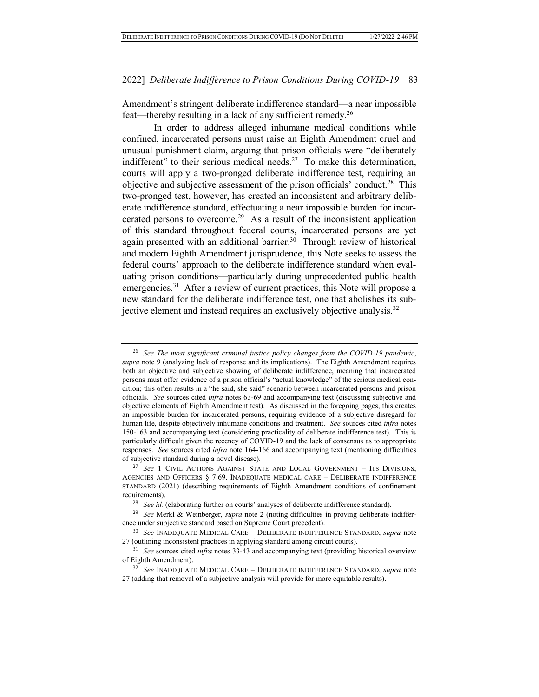Amendment's stringent deliberate indifference standard—a near impossible feat—thereby resulting in a lack of any sufficient remedy.<sup>26</sup>

In order to address alleged inhumane medical conditions while confined, incarcerated persons must raise an Eighth Amendment cruel and unusual punishment claim, arguing that prison officials were "deliberately indifferent" to their serious medical needs.<sup>27</sup> To make this determination, courts will apply a two-pronged deliberate indifference test, requiring an objective and subjective assessment of the prison officials' conduct.<sup>28</sup> This two-pronged test, however, has created an inconsistent and arbitrary deliberate indifference standard, effectuating a near impossible burden for incarcerated persons to overcome.<sup>29</sup> As a result of the inconsistent application of this standard throughout federal courts, incarcerated persons are yet again presented with an additional barrier.<sup>30</sup> Through review of historical and modern Eighth Amendment jurisprudence, this Note seeks to assess the federal courts' approach to the deliberate indifference standard when evaluating prison conditions—particularly during unprecedented public health emergencies.<sup>31</sup> After a review of current practices, this Note will propose a new standard for the deliberate indifference test, one that abolishes its subjective element and instead requires an exclusively objective analysis.<sup>32</sup>

<sup>26</sup> *See The most significant criminal justice policy changes from the COVID-19 pandemic*, *supra* note 9 (analyzing lack of response and its implications). The Eighth Amendment requires both an objective and subjective showing of deliberate indifference, meaning that incarcerated persons must offer evidence of a prison official's "actual knowledge" of the serious medical condition; this often results in a "he said, she said" scenario between incarcerated persons and prison officials. *See* sources cited *infra* notes 63-69 and accompanying text (discussing subjective and objective elements of Eighth Amendment test). As discussed in the foregoing pages, this creates an impossible burden for incarcerated persons, requiring evidence of a subjective disregard for human life, despite objectively inhumane conditions and treatment. *See* sources cited *infra* notes 150-163 and accompanying text (considering practicality of deliberate indifference test). This is particularly difficult given the recency of COVID-19 and the lack of consensus as to appropriate responses. *See* sources cited *infra* note 164-166 and accompanying text (mentioning difficulties of subjective standard during a novel disease).

<sup>27</sup> *See* 1 CIVIL ACTIONS AGAINST STATE AND LOCAL GOVERNMENT – ITS DIVISIONS, AGENCIES AND OFFICERS § 7:69. INADEQUATE MEDICAL CARE – DELIBERATE INDIFFERENCE STANDARD (2021) (describing requirements of Eighth Amendment conditions of confinement requirements).

<sup>28</sup> *See id.* (elaborating further on courts' analyses of deliberate indifference standard).

<sup>29</sup> *See* Merkl & Weinberger, *supra* note 2 (noting difficulties in proving deliberate indifference under subjective standard based on Supreme Court precedent).

<sup>30</sup> *See* INADEQUATE MEDICAL CARE – DELIBERATE INDIFFERENCE STANDARD, *supra* note 27 (outlining inconsistent practices in applying standard among circuit courts).

<sup>31</sup> *See* sources cited *infra* notes 33-43 and accompanying text (providing historical overview of Eighth Amendment).

<sup>32</sup> *See* INADEQUATE MEDICAL CARE – DELIBERATE INDIFFERENCE STANDARD, *supra* note 27 (adding that removal of a subjective analysis will provide for more equitable results).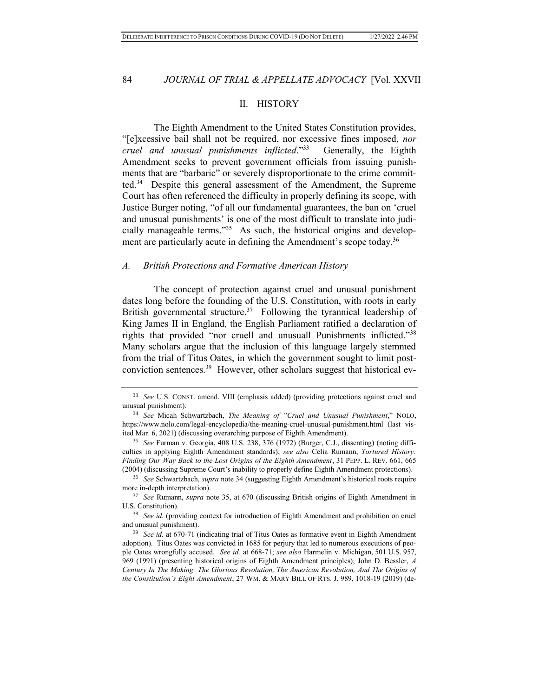#### II. HISTORY

The Eighth Amendment to the United States Constitution provides, "[e]xcessive bail shall not be required, nor excessive fines imposed, *nor cruel and unusual punishments inflicted*."<sup>33</sup> Generally, the Eighth Amendment seeks to prevent government officials from issuing punishments that are "barbaric" or severely disproportionate to the crime committed.<sup>34</sup> Despite this general assessment of the Amendment, the Supreme Court has often referenced the difficulty in properly defining its scope, with Justice Burger noting, "of all our fundamental guarantees, the ban on 'cruel and unusual punishments' is one of the most difficult to translate into judicially manageable terms."<sup>35</sup> As such, the historical origins and development are particularly acute in defining the Amendment's scope today.<sup>36</sup>

#### *A. British Protections and Formative American History*

The concept of protection against cruel and unusual punishment dates long before the founding of the U.S. Constitution, with roots in early British governmental structure.<sup>37</sup> Following the tyrannical leadership of King James II in England, the English Parliament ratified a declaration of rights that provided "nor cruell and unusuall Punishments inflicted."<sup>38</sup> Many scholars argue that the inclusion of this language largely stemmed from the trial of Titus Oates, in which the government sought to limit postconviction sentences.<sup>39</sup> However, other scholars suggest that historical ev-

<sup>33</sup> *See* U.S. CONST. amend. VIII (emphasis added) (providing protections against cruel and unusual punishment).

<sup>34</sup> *See* Micah Schwartzbach, *The Meaning of "Cruel and Unusual Punishment*," NOLO, https://www.nolo.com/legal-encyclopedia/the-meaning-cruel-unusual-punishment.html (last visited Mar. 6, 2021) (discussing overarching purpose of Eighth Amendment).

<sup>35</sup> *See* Furman v. Georgia, 408 U.S. 238, 376 (1972) (Burger, C.J., dissenting) (noting difficulties in applying Eighth Amendment standards); *see also* Celia Rumann, *Tortured History: Finding Our Way Back to the Lost Origins of the Eighth Amendment*, 31 PEPP. L. REV. 661, 665 (2004) (discussing Supreme Court's inability to properly define Eighth Amendment protections).

<sup>36</sup> *See* Schwartzbach, *supra* note 34 (suggesting Eighth Amendment's historical roots require more in-depth interpretation).

<sup>37</sup> *See* Rumann, *supra* note 35, at 670 (discussing British origins of Eighth Amendment in U.S. Constitution).

<sup>38</sup> *See id.* (providing context for introduction of Eighth Amendment and prohibition on cruel and unusual punishment).

<sup>39</sup> *See id.* at 670-71 (indicating trial of Titus Oates as formative event in Eighth Amendment adoption). Titus Oates was convicted in 1685 for perjury that led to numerous executions of people Oates wrongfully accused. *See id.* at 668-71; *see also* Harmelin v. Michigan, 501 U.S. 957, 969 (1991) (presenting historical origins of Eighth Amendment principles); John D. Bessler, *A Century In The Making: The Glorious Revolution, The American Revolution, And The Origins of the Constitution's Eight Amendment*, 27 WM. & MARY BILL OF RTS. J. 989, 1018-19 (2019) (de-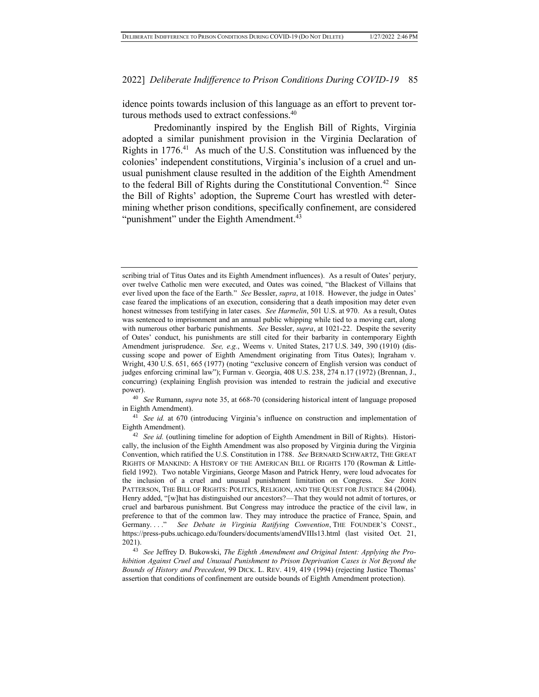idence points towards inclusion of this language as an effort to prevent torturous methods used to extract confessions.<sup>40</sup>

Predominantly inspired by the English Bill of Rights, Virginia adopted a similar punishment provision in the Virginia Declaration of Rights in 1776.<sup>41</sup> As much of the U.S. Constitution was influenced by the colonies' independent constitutions, Virginia's inclusion of a cruel and unusual punishment clause resulted in the addition of the Eighth Amendment to the federal Bill of Rights during the Constitutional Convention.<sup>42</sup> Since the Bill of Rights' adoption, the Supreme Court has wrestled with determining whether prison conditions, specifically confinement, are considered "punishment" under the Eighth Amendment.<sup>43</sup>

<sup>40</sup> *See* Rumann, *supra* note 35, at 668-70 (considering historical intent of language proposed in Eighth Amendment).

<sup>41</sup> *See id.* at 670 (introducing Virginia's influence on construction and implementation of Eighth Amendment).

scribing trial of Titus Oates and its Eighth Amendment influences). As a result of Oates' perjury, over twelve Catholic men were executed, and Oates was coined, "the Blackest of Villains that ever lived upon the face of the Earth." *See* Bessler, *supra*, at 1018. However, the judge in Oates' case feared the implications of an execution, considering that a death imposition may deter even honest witnesses from testifying in later cases. *See Harmelin*, 501 U.S. at 970. As a result, Oates was sentenced to imprisonment and an annual public whipping while tied to a moving cart, along with numerous other barbaric punishments. *See* Bessler, *supra*, at 1021-22. Despite the severity of Oates' conduct, his punishments are still cited for their barbarity in contemporary Eighth Amendment jurisprudence. *See, e.g.*, Weems v. United States, 217 U.S. 349, 390 (1910) (discussing scope and power of Eighth Amendment originating from Titus Oates); Ingraham v. Wright, 430 U.S. 651, 665 (1977) (noting "exclusive concern of English version was conduct of judges enforcing criminal law"); Furman v. Georgia, 408 U.S. 238, 274 n.17 (1972) (Brennan, J., concurring) (explaining English provision was intended to restrain the judicial and executive power).

<sup>42</sup> *See id.* (outlining timeline for adoption of Eighth Amendment in Bill of Rights). Historically, the inclusion of the Eighth Amendment was also proposed by Virginia during the Virginia Convention, which ratified the U.S. Constitution in 1788. *See* BERNARD SCHWARTZ, THE GREAT RIGHTS OF MANKIND: A HISTORY OF THE AMERICAN BILL OF RIGHTS 170 (Rowman & Littlefield 1992). Two notable Virginians, George Mason and Patrick Henry, were loud advocates for the inclusion of a cruel and unusual punishment limitation on Congress. *See* JOHN PATTERSON, THE BILL OF RIGHTS: POLITICS, RELIGION, AND THE QUEST FOR JUSTICE 84 (2004). Henry added, "[w]hat has distinguished our ancestors?—That they would not admit of tortures, or cruel and barbarous punishment. But Congress may introduce the practice of the civil law, in preference to that of the common law. They may introduce the practice of France, Spain, and Germany. . . ." *See Debate in Virginia Ratifying Convention*, THE FOUNDER'S CONST., https://press-pubs.uchicago.edu/founders/documents/amendVIIIs13.html (last visited Oct. 21, 2021).

<sup>43</sup> *See* Jeffrey D. Bukowski, *The Eighth Amendment and Original Intent: Applying the Prohibition Against Cruel and Unusual Punishment to Prison Deprivation Cases is Not Beyond the Bounds of History and Precedent*, 99 DICK. L. REV. 419, 419 (1994) (rejecting Justice Thomas' assertion that conditions of confinement are outside bounds of Eighth Amendment protection).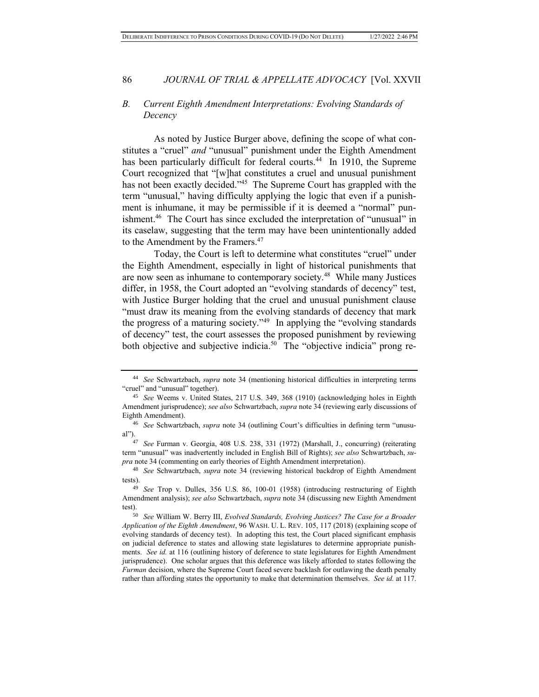#### *B. Current Eighth Amendment Interpretations: Evolving Standards of Decency*

As noted by Justice Burger above, defining the scope of what constitutes a "cruel" *and* "unusual" punishment under the Eighth Amendment has been particularly difficult for federal courts.<sup>44</sup> In 1910, the Supreme Court recognized that "[w]hat constitutes a cruel and unusual punishment has not been exactly decided."<sup>45</sup> The Supreme Court has grappled with the term "unusual," having difficulty applying the logic that even if a punishment is inhumane, it may be permissible if it is deemed a "normal" punishment.<sup>46</sup> The Court has since excluded the interpretation of "unusual" in its caselaw, suggesting that the term may have been unintentionally added to the Amendment by the Framers.<sup>47</sup>

Today, the Court is left to determine what constitutes "cruel" under the Eighth Amendment, especially in light of historical punishments that are now seen as inhumane to contemporary society.<sup>48</sup> While many Justices differ, in 1958, the Court adopted an "evolving standards of decency" test, with Justice Burger holding that the cruel and unusual punishment clause "must draw its meaning from the evolving standards of decency that mark the progress of a maturing society."<sup>49</sup> In applying the "evolving standards" of decency" test, the court assesses the proposed punishment by reviewing both objective and subjective indicia.<sup>50</sup> The "objective indicia" prong re-

<sup>44</sup> *See* Schwartzbach, *supra* note 34 (mentioning historical difficulties in interpreting terms "cruel" and "unusual" together).

<sup>45</sup> *See* Weems v. United States, 217 U.S. 349, 368 (1910) (acknowledging holes in Eighth Amendment jurisprudence); *see also* Schwartzbach, *supra* note 34 (reviewing early discussions of Eighth Amendment).

<sup>46</sup> *See* Schwartzbach, *supra* note 34 (outlining Court's difficulties in defining term "unusual").

<sup>47</sup> *See* Furman v. Georgia, 408 U.S. 238, 331 (1972) (Marshall, J., concurring) (reiterating term "unusual" was inadvertently included in English Bill of Rights); *see also* Schwartzbach, *supra* note 34 (commenting on early theories of Eighth Amendment interpretation).

<sup>48</sup> *See* Schwartzbach, *supra* note 34 (reviewing historical backdrop of Eighth Amendment tests).<br> $49$ 

<sup>49</sup> *See* Trop v. Dulles, 356 U.S. 86, 100-01 (1958) (introducing restructuring of Eighth Amendment analysis); *see also* Schwartzbach, *supra* note 34 (discussing new Eighth Amendment test).

<sup>50</sup> *See* William W. Berry III, *Evolved Standards, Evolving Justices? The Case for a Broader Application of the Eighth Amendment*, 96 WASH. U. L. REV. 105, 117 (2018) (explaining scope of evolving standards of decency test). In adopting this test, the Court placed significant emphasis on judicial deference to states and allowing state legislatures to determine appropriate punishments. *See id.* at 116 (outlining history of deference to state legislatures for Eighth Amendment jurisprudence). One scholar argues that this deference was likely afforded to states following the *Furman* decision, where the Supreme Court faced severe backlash for outlawing the death penalty rather than affording states the opportunity to make that determination themselves. *See id.* at 117.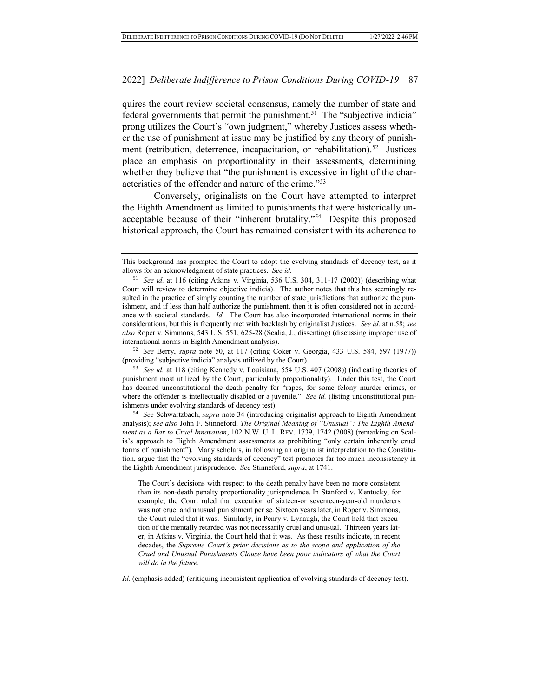quires the court review societal consensus, namely the number of state and federal governments that permit the punishment.<sup>51</sup> The "subjective indicia" prong utilizes the Court's "own judgment," whereby Justices assess whether the use of punishment at issue may be justified by any theory of punishment (retribution, deterrence, incapacitation, or rehabilitation).<sup>52</sup> Justices place an emphasis on proportionality in their assessments, determining whether they believe that "the punishment is excessive in light of the characteristics of the offender and nature of the crime."<sup>53</sup>

Conversely, originalists on the Court have attempted to interpret the Eighth Amendment as limited to punishments that were historically unacceptable because of their "inherent brutality."<sup>54</sup> Despite this proposed historical approach, the Court has remained consistent with its adherence to

<sup>52</sup> *See* Berry, *supra* note 50, at 117 (citing Coker v. Georgia, 433 U.S. 584, 597 (1977)) (providing "subjective indicia" analysis utilized by the Court).

<sup>53</sup> *See id.* at 118 (citing Kennedy v. Louisiana, 554 U.S. 407 (2008)) (indicating theories of punishment most utilized by the Court, particularly proportionality). Under this test, the Court has deemed unconstitutional the death penalty for "rapes, for some felony murder crimes, or where the offender is intellectually disabled or a juvenile." *See id.* (listing unconstitutional punishments under evolving standards of decency test).

<sup>54</sup> *See* Schwartzbach, *supra* note 34 (introducing originalist approach to Eighth Amendment analysis); *see also* John F. Stinneford, *The Original Meaning of "Unusual": The Eighth Amendment as a Bar to Cruel Innovation*, 102 N.W. U. L. REV. 1739, 1742 (2008) (remarking on Scalia's approach to Eighth Amendment assessments as prohibiting "only certain inherently cruel forms of punishment"). Many scholars, in following an originalist interpretation to the Constitution, argue that the "evolving standards of decency" test promotes far too much inconsistency in the Eighth Amendment jurisprudence. *See* Stinneford, *supra*, at 1741.

The Court's decisions with respect to the death penalty have been no more consistent than its non-death penalty proportionality jurisprudence. In Stanford v. Kentucky, for example, the Court ruled that execution of sixteen-or seventeen-year-old murderers was not cruel and unusual punishment per se. Sixteen years later, in Roper v. Simmons, the Court ruled that it was. Similarly, in Penry v. Lynaugh, the Court held that execution of the mentally retarded was not necessarily cruel and unusual. Thirteen years later, in Atkins v. Virginia, the Court held that it was. As these results indicate, in recent decades, the *Supreme Court's prior decisions as to the scope and application of the Cruel and Unusual Punishments Clause have been poor indicators of what the Court will do in the future.*

*Id.* (emphasis added) (critiquing inconsistent application of evolving standards of decency test).

This background has prompted the Court to adopt the evolving standards of decency test, as it allows for an acknowledgment of state practices. *See id.*

<sup>51</sup> *See id.* at 116 (citing Atkins v. Virginia, 536 U.S. 304, 311-17 (2002)) (describing what Court will review to determine objective indicia). The author notes that this has seemingly resulted in the practice of simply counting the number of state jurisdictions that authorize the punishment, and if less than half authorize the punishment, then it is often considered not in accordance with societal standards. *Id.* The Court has also incorporated international norms in their considerations, but this is frequently met with backlash by originalist Justices. *See id.* at n.58; *see also* Roper v. Simmons, 543 U.S. 551, 625-28 (Scalia, J., dissenting) (discussing improper use of international norms in Eighth Amendment analysis).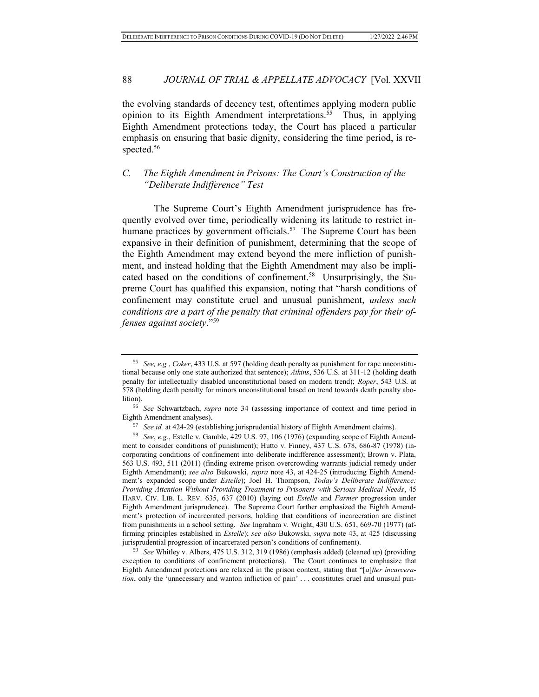the evolving standards of decency test, oftentimes applying modern public opinion to its Eighth Amendment interpretations.<sup>55</sup> Thus, in applying Eighth Amendment protections today, the Court has placed a particular emphasis on ensuring that basic dignity, considering the time period, is respected.<sup>56</sup>

## *C. The Eighth Amendment in Prisons: The Court's Construction of the "Deliberate Indifference" Test*

The Supreme Court's Eighth Amendment jurisprudence has frequently evolved over time, periodically widening its latitude to restrict inhumane practices by government officials.<sup>57</sup> The Supreme Court has been expansive in their definition of punishment, determining that the scope of the Eighth Amendment may extend beyond the mere infliction of punishment, and instead holding that the Eighth Amendment may also be implicated based on the conditions of confinement.<sup>58</sup> Unsurprisingly, the Supreme Court has qualified this expansion, noting that "harsh conditions of confinement may constitute cruel and unusual punishment, *unless such conditions are a part of the penalty that criminal offenders pay for their offenses against society*."<sup>59</sup>

<sup>59</sup> *See* Whitley v. Albers, 475 U.S. 312, 319 (1986) (emphasis added) (cleaned up) (providing exception to conditions of confinement protections). The Court continues to emphasize that Eighth Amendment protections are relaxed in the prison context, stating that "[*a*]*fter incarceration*, only the 'unnecessary and wanton infliction of pain' . . . constitutes cruel and unusual pun-

<sup>55</sup> *See, e.g.*, *Coker*, 433 U.S. at 597 (holding death penalty as punishment for rape unconstitutional because only one state authorized that sentence); *Atkins*, 536 U.S. at 311-12 (holding death penalty for intellectually disabled unconstitutional based on modern trend); *Roper*, 543 U.S. at 578 (holding death penalty for minors unconstitutional based on trend towards death penalty abolition).

<sup>56</sup> *See* Schwartzbach, *supra* note 34 (assessing importance of context and time period in Eighth Amendment analyses).

<sup>57</sup> *See id.* at 424-29 (establishing jurisprudential history of Eighth Amendment claims).

<sup>58</sup> *See*, *e.g.*, Estelle v. Gamble, 429 U.S. 97, 106 (1976) (expanding scope of Eighth Amendment to consider conditions of punishment); Hutto v. Finney, 437 U.S. 678, 686-87 (1978) (incorporating conditions of confinement into deliberate indifference assessment); Brown v. Plata, 563 U.S. 493, 511 (2011) (finding extreme prison overcrowding warrants judicial remedy under Eighth Amendment); *see also* Bukowski, *supra* note 43, at 424-25 (introducing Eighth Amendment's expanded scope under *Estelle*); Joel H. Thompson, *Today's Deliberate Indifference: Providing Attention Without Providing Treatment to Prisoners with Serious Medical Needs*, 45 HARV. CIV. LIB. L. REV. 635, 637 (2010) (laying out *Estelle* and *Farmer* progression under Eighth Amendment jurisprudence). The Supreme Court further emphasized the Eighth Amendment's protection of incarcerated persons, holding that conditions of incarceration are distinct from punishments in a school setting. *See* Ingraham v. Wright, 430 U.S. 651, 669-70 (1977) (affirming principles established in *Estelle*); *see also* Bukowski, *supra* note 43, at 425 (discussing jurisprudential progression of incarcerated person's conditions of confinement).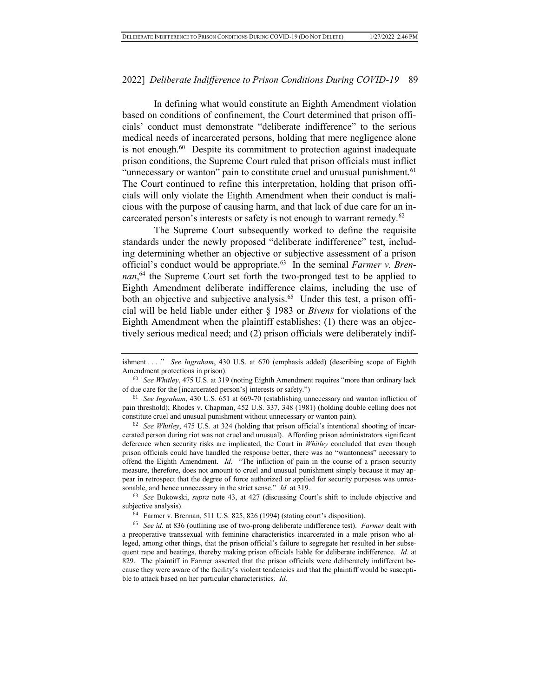In defining what would constitute an Eighth Amendment violation based on conditions of confinement, the Court determined that prison officials' conduct must demonstrate "deliberate indifference" to the serious medical needs of incarcerated persons, holding that mere negligence alone is not enough.<sup>60</sup> Despite its commitment to protection against inadequate prison conditions, the Supreme Court ruled that prison officials must inflict "unnecessary or wanton" pain to constitute cruel and unusual punishment.<sup>61</sup> The Court continued to refine this interpretation, holding that prison officials will only violate the Eighth Amendment when their conduct is malicious with the purpose of causing harm, and that lack of due care for an incarcerated person's interests or safety is not enough to warrant remedy.<sup>62</sup>

The Supreme Court subsequently worked to define the requisite standards under the newly proposed "deliberate indifference" test, including determining whether an objective or subjective assessment of a prison official's conduct would be appropriate.<sup>63</sup> In the seminal *Farmer v. Bren*nan,<sup>64</sup> the Supreme Court set forth the two-pronged test to be applied to Eighth Amendment deliberate indifference claims, including the use of both an objective and subjective analysis.<sup>65</sup> Under this test, a prison official will be held liable under either § 1983 or *Bivens* for violations of the Eighth Amendment when the plaintiff establishes: (1) there was an objectively serious medical need; and (2) prison officials were deliberately indif-

<sup>62</sup> *See Whitley*, 475 U.S. at 324 (holding that prison official's intentional shooting of incarcerated person during riot was not cruel and unusual). Affording prison administrators significant deference when security risks are implicated, the Court in *Whitley* concluded that even though prison officials could have handled the response better, there was no "wantonness" necessary to offend the Eighth Amendment. *Id.* "The infliction of pain in the course of a prison security measure, therefore, does not amount to cruel and unusual punishment simply because it may appear in retrospect that the degree of force authorized or applied for security purposes was unreasonable, and hence unnecessary in the strict sense." *Id.* at 319.

<sup>63</sup> *See* Bukowski, *supra* note 43, at 427 (discussing Court's shift to include objective and subjective analysis).

<sup>64</sup> Farmer v. Brennan, 511 U.S. 825, 826 (1994) (stating court's disposition).

<sup>65</sup> *See id.* at 836 (outlining use of two-prong deliberate indifference test). *Farmer* dealt with a preoperative transsexual with feminine characteristics incarcerated in a male prison who alleged, among other things, that the prison official's failure to segregate her resulted in her subsequent rape and beatings, thereby making prison officials liable for deliberate indifference. *Id.* at 829. The plaintiff in Farmer asserted that the prison officials were deliberately indifferent because they were aware of the facility's violent tendencies and that the plaintiff would be susceptible to attack based on her particular characteristics. *Id.*

ishment . . . ." *See Ingraham*, 430 U.S. at 670 (emphasis added) (describing scope of Eighth Amendment protections in prison).

<sup>60</sup> *See Whitley*, 475 U.S. at 319 (noting Eighth Amendment requires "more than ordinary lack of due care for the [incarcerated person's] interests or safety.")

<sup>61</sup> *See Ingraham*, 430 U.S. 651 at 669-70 (establishing unnecessary and wanton infliction of pain threshold); Rhodes v. Chapman, 452 U.S. 337, 348 (1981) (holding double celling does not constitute cruel and unusual punishment without unnecessary or wanton pain).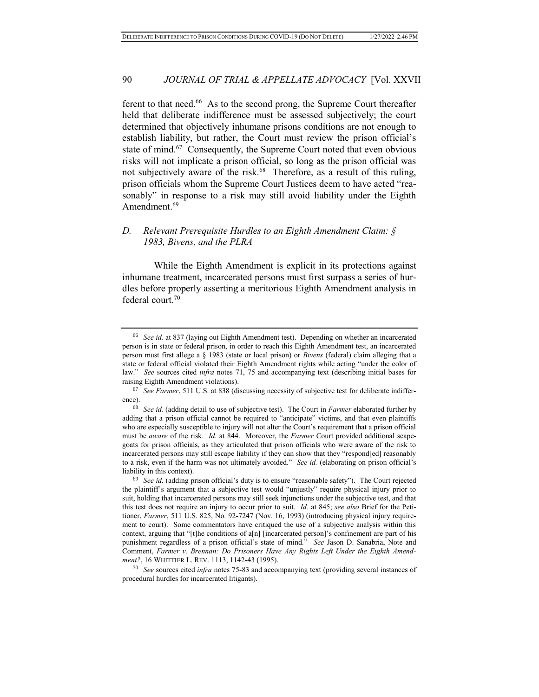ferent to that need.<sup>66</sup> As to the second prong, the Supreme Court thereafter held that deliberate indifference must be assessed subjectively; the court determined that objectively inhumane prisons conditions are not enough to establish liability, but rather, the Court must review the prison official's state of mind.<sup>67</sup> Consequently, the Supreme Court noted that even obvious risks will not implicate a prison official, so long as the prison official was not subjectively aware of the risk.<sup>68</sup> Therefore, as a result of this ruling, prison officials whom the Supreme Court Justices deem to have acted "reasonably" in response to a risk may still avoid liability under the Eighth Amendment.<sup>69</sup>

## *D. Relevant Prerequisite Hurdles to an Eighth Amendment Claim: § 1983, Bivens, and the PLRA*

While the Eighth Amendment is explicit in its protections against inhumane treatment, incarcerated persons must first surpass a series of hurdles before properly asserting a meritorious Eighth Amendment analysis in federal court.<sup>70</sup>

<sup>70</sup> *See* sources cited *infra* notes 75-83 and accompanying text (providing several instances of procedural hurdles for incarcerated litigants).

<sup>66</sup> *See id.* at 837 (laying out Eighth Amendment test). Depending on whether an incarcerated person is in state or federal prison, in order to reach this Eighth Amendment test, an incarcerated person must first allege a § 1983 (state or local prison) or *Bivens* (federal) claim alleging that a state or federal official violated their Eighth Amendment rights while acting "under the color of law." *See* sources cited *infra* notes 71, 75 and accompanying text (describing initial bases for raising Eighth Amendment violations).

<sup>67</sup> *See Farmer*, 511 U.S. at 838 (discussing necessity of subjective test for deliberate indifference).

<sup>68</sup> *See id.* (adding detail to use of subjective test). The Court in *Farmer* elaborated further by adding that a prison official cannot be required to "anticipate" victims, and that even plaintiffs who are especially susceptible to injury will not alter the Court's requirement that a prison official must be *aware* of the risk. *Id.* at 844. Moreover, the *Farmer* Court provided additional scapegoats for prison officials, as they articulated that prison officials who were aware of the risk to incarcerated persons may still escape liability if they can show that they "respond[ed] reasonably to a risk, even if the harm was not ultimately avoided." *See id.* (elaborating on prison official's liability in this context).

<sup>69</sup> *See id.* (adding prison official's duty is to ensure "reasonable safety"). The Court rejected the plaintiff's argument that a subjective test would "unjustly" require physical injury prior to suit, holding that incarcerated persons may still seek injunctions under the subjective test, and that this test does not require an injury to occur prior to suit. *Id.* at 845; *see also* Brief for the Petitioner, *Farmer*, 511 U.S. 825, No. 92-7247 (Nov. 16, 1993) (introducing physical injury requirement to court). Some commentators have critiqued the use of a subjective analysis within this context, arguing that "[t]he conditions of  $a[n]$  [incarcerated person]'s confinement are part of his punishment regardless of a prison official's state of mind." *See* Jason D. Sanabria, Note and Comment, *Farmer v. Brennan: Do Prisoners Have Any Rights Left Under the Eighth Amendment?*, 16 WHITTIER L. REV. 1113, 1142-43 (1995).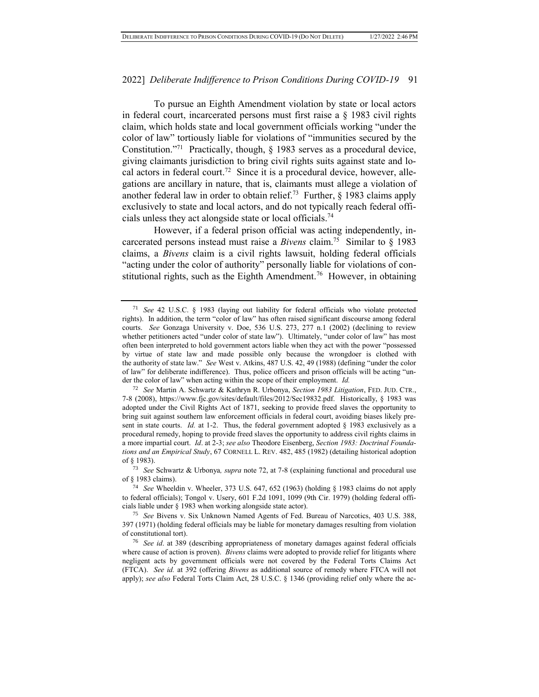To pursue an Eighth Amendment violation by state or local actors in federal court, incarcerated persons must first raise a § 1983 civil rights claim, which holds state and local government officials working "under the color of law" tortiously liable for violations of "immunities secured by the Constitution."<sup>71</sup> Practically, though, § 1983 serves as a procedural device, giving claimants jurisdiction to bring civil rights suits against state and local actors in federal court.<sup>72</sup> Since it is a procedural device, however, allegations are ancillary in nature, that is, claimants must allege a violation of another federal law in order to obtain relief.<sup>73</sup> Further,  $\S$  1983 claims apply exclusively to state and local actors, and do not typically reach federal officials unless they act alongside state or local officials.<sup>74</sup>

However, if a federal prison official was acting independently, incarcerated persons instead must raise a *Bivens* claim.<sup>75</sup> Similar to § 1983 claims, a *Bivens* claim is a civil rights lawsuit, holding federal officials "acting under the color of authority" personally liable for violations of constitutional rights, such as the Eighth Amendment.<sup>76</sup> However, in obtaining

<sup>71</sup> *See* 42 U.S.C. § 1983 (laying out liability for federal officials who violate protected rights). In addition, the term "color of law" has often raised significant discourse among federal courts. *See* Gonzaga University v. Doe, 536 U.S. 273, 277 n.1 (2002) (declining to review whether petitioners acted "under color of state law"). Ultimately, "under color of law" has most often been interpreted to hold government actors liable when they act with the power "possessed by virtue of state law and made possible only because the wrongdoer is clothed with the authority of state law." *See* West v. Atkins, 487 U.S. 42, 49 (1988) (defining "under the color of law" for deliberate indifference). Thus, police officers and prison officials will be acting "under the color of law" when acting within the scope of their employment. *Id.*

<sup>72</sup> *See* Martin A. Schwartz & Kathryn R. Urbonya, *Section 1983 Litigation*, FED. JUD. CTR., 7-8 (2008), https://www.fjc.gov/sites/default/files/2012/Sec19832.pdf. Historically, § 1983 was adopted under the Civil Rights Act of 1871, seeking to provide freed slaves the opportunity to bring suit against southern law enforcement officials in federal court, avoiding biases likely present in state courts. *Id.* at 1-2. Thus, the federal government adopted § 1983 exclusively as a procedural remedy, hoping to provide freed slaves the opportunity to address civil rights claims in a more impartial court. *Id*. at 2-3; *see also* Theodore Eisenberg, *Section 1983: Doctrinal Foundations and an Empirical Study*, 67 CORNELL L. REV. 482, 485 (1982) (detailing historical adoption of § 1983).

<sup>73</sup> *See* Schwartz & Urbonya*, supra* note 72, at 7-8 (explaining functional and procedural use of § 1983 claims).

<sup>74</sup> *See* Wheeldin v. Wheeler, 373 U.S. 647, 652 (1963) (holding § 1983 claims do not apply to federal officials); Tongol v. Usery, 601 F.2d 1091, 1099 (9th Cir. 1979) (holding federal officials liable under § 1983 when working alongside state actor).

<sup>75</sup> *See* Bivens v. Six Unknown Named Agents of Fed. Bureau of Narcotics, 403 U.S. 388, 397 (1971) (holding federal officials may be liable for monetary damages resulting from violation of constitutional tort).

<sup>76</sup> *See id*. at 389 (describing appropriateness of monetary damages against federal officials where cause of action is proven). *Bivens* claims were adopted to provide relief for litigants where negligent acts by government officials were not covered by the Federal Torts Claims Act (FTCA). *See id.* at 392 (offering *Bivens* as additional source of remedy where FTCA will not apply); *see also* Federal Torts Claim Act, 28 U.S.C. § 1346 (providing relief only where the ac-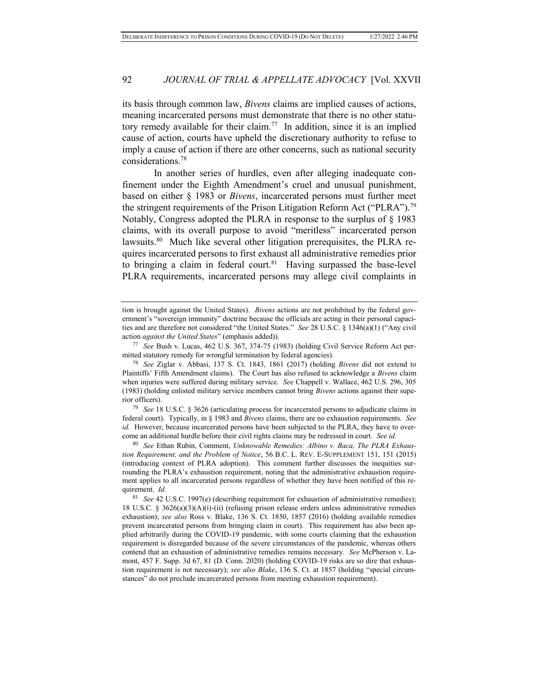its basis through common law, *Bivens* claims are implied causes of actions, meaning incarcerated persons must demonstrate that there is no other statutory remedy available for their claim.<sup>77</sup> In addition, since it is an implied cause of action, courts have upheld the discretionary authority to refuse to imply a cause of action if there are other concerns, such as national security considerations.<sup>78</sup>

In another series of hurdles, even after alleging inadequate confinement under the Eighth Amendment's cruel and unusual punishment, based on either § 1983 or *Bivens*, incarcerated persons must further meet the stringent requirements of the Prison Litigation Reform Act ("PLRA").<sup>79</sup> Notably, Congress adopted the PLRA in response to the surplus of § 1983 claims, with its overall purpose to avoid "meritless" incarcerated person lawsuits.<sup>80</sup> Much like several other litigation prerequisites, the PLRA requires incarcerated persons to first exhaust all administrative remedies prior to bringing a claim in federal court.<sup>81</sup> Having surpassed the base-level PLRA requirements, incarcerated persons may allege civil complaints in

<sup>79</sup> *See* 18 U.S.C. § 3626 (articulating process for incarcerated persons to adjudicate claims in federal court). Typically, in § 1983 and *Bivens* claims, there are no exhaustion requirements. *See id.* However, because incarcerated persons have been subjected to the PLRA, they have to overcome an additional hurdle before their civil rights claims may be redressed in court. *See id.*

<sup>80</sup> *See* Ethan Rubin, Comment, *Unknowable Remedies: Albino v. Baca, The PLRA Exhaustion Requirement, and the Problem of Notice*, 56 B.C. L. REV. E-SUPPLEMENT 151, 151 (2015) (introducing context of PLRA adoption). This comment further discusses the inequities surrounding the PLRA's exhaustion requirement, noting that the administrative exhaustion requirement applies to all incarcerated persons regardless of whether they have been notified of this requirement. *Id.*

tion is brought against the United States). *Bivens* actions are not prohibited by the federal government's "sovereign immunity" doctrine because the officials are acting in their personal capacities and are therefore not considered "the United States." *See* 28 U.S.C. § 1346(a)(1) ("Any civil action *against the United States*" (emphasis added)).

<sup>77</sup> *See* Bush v. Lucas, 462 U.S. 367, 374-75 (1983) (holding Civil Service Reform Act permitted statutory remedy for wrongful termination by federal agencies).

<sup>78</sup> *See* Ziglar v. Abbasi, 137 S. Ct. 1843, 1861 (2017) (holding *Bivens* did not extend to Plaintiffs' Fifth Amendment claims). The Court has also refused to acknowledge a *Bivens* claim when injuries were suffered during military service. *See* Chappell v. Wallace, 462 U.S. 296, 305 (1983) (holding enlisted military service members cannot bring *Bivens* actions against their superior officers).

<sup>81</sup> *See* 42 U.S.C. 1997(e) (describing requirement for exhaustion of administrative remedies); 18 U.S.C. § 3626(a)(3)(A)(i)-(ii) (refusing prison release orders unless administrative remedies exhaustion); *see also* Ross v. Blake, 136 S. Ct. 1850, 1857 (2016) (holding available remedies prevent incarcerated persons from bringing claim in court). This requirement has also been applied arbitrarily during the COVID-19 pandemic, with some courts claiming that the exhaustion requirement is disregarded because of the severe circumstances of the pandemic, whereas others contend that an exhaustion of administrative remedies remains necessary. *See* McPherson v. Lamont, 457 F. Supp. 3d 67, 81 (D. Conn. 2020) (holding COVID-19 risks are so dire that exhaustion requirement is not necessary); *see also Blake*, 136 S. Ct. at 1857 (holding "special circumstances" do not preclude incarcerated persons from meeting exhaustion requirement).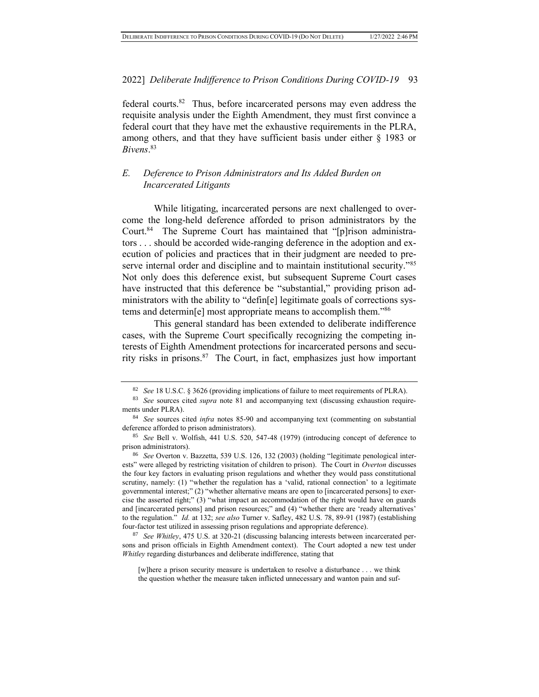federal courts.<sup>82</sup> Thus, before incarcerated persons may even address the requisite analysis under the Eighth Amendment, they must first convince a federal court that they have met the exhaustive requirements in the PLRA, among others, and that they have sufficient basis under either § 1983 or *Bivens*. 83

## *E. Deference to Prison Administrators and Its Added Burden on Incarcerated Litigants*

While litigating, incarcerated persons are next challenged to overcome the long-held deference afforded to prison administrators by the Court.<sup>84</sup> The Supreme Court has maintained that "[p]rison administrators . . . should be accorded wide-ranging deference in the adoption and execution of policies and practices that in their judgment are needed to preserve internal order and discipline and to maintain institutional security."<sup>85</sup> Not only does this deference exist, but subsequent Supreme Court cases have instructed that this deference be "substantial," providing prison administrators with the ability to "defin[e] legitimate goals of corrections systems and determin[e] most appropriate means to accomplish them."<sup>86</sup>

This general standard has been extended to deliberate indifference cases, with the Supreme Court specifically recognizing the competing interests of Eighth Amendment protections for incarcerated persons and security risks in prisons.<sup>87</sup> The Court, in fact, emphasizes just how important

<sup>87</sup> *See Whitley*, 475 U.S. at 320-21 (discussing balancing interests between incarcerated persons and prison officials in Eighth Amendment context). The Court adopted a new test under *Whitley* regarding disturbances and deliberate indifference, stating that

<sup>82</sup> *See* 18 U.S.C. § 3626 (providing implications of failure to meet requirements of PLRA).

<sup>83</sup> *See* sources cited *supra* note 81 and accompanying text (discussing exhaustion requirements under PLRA).

<sup>84</sup> *See* sources cited *infra* notes 85-90 and accompanying text (commenting on substantial deference afforded to prison administrators).

<sup>85</sup> *See* Bell v. Wolfish, 441 U.S. 520, 547-48 (1979) (introducing concept of deference to prison administrators).

<sup>86</sup> *See* Overton v. Bazzetta, 539 U.S. 126, 132 (2003) (holding "legitimate penological interests" were alleged by restricting visitation of children to prison). The Court in *Overton* discusses the four key factors in evaluating prison regulations and whether they would pass constitutional scrutiny, namely: (1) "whether the regulation has a 'valid, rational connection' to a legitimate governmental interest;" (2) "whether alternative means are open to [incarcerated persons] to exercise the asserted right;" (3) "what impact an accommodation of the right would have on guards and [incarcerated persons] and prison resources;" and (4) "whether there are 'ready alternatives' to the regulation." *Id.* at 132; *see also* Turner v. Safley, 482 U.S. 78, 89-91 (1987) (establishing four-factor test utilized in assessing prison regulations and appropriate deference).

<sup>[</sup>w]here a prison security measure is undertaken to resolve a disturbance . . . we think the question whether the measure taken inflicted unnecessary and wanton pain and suf-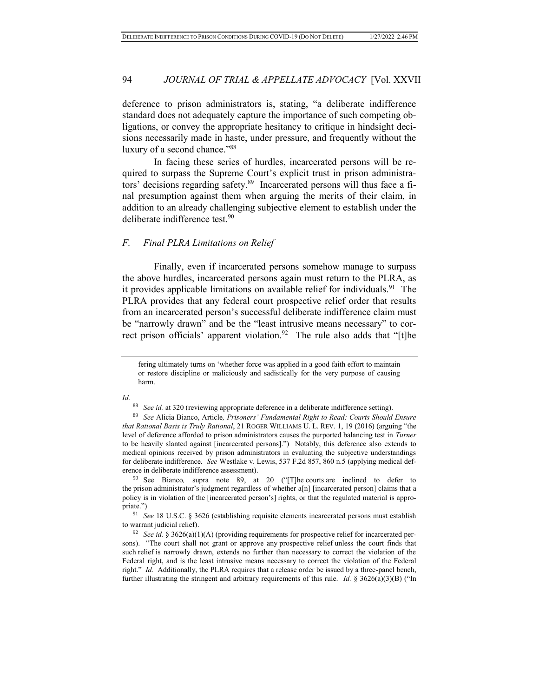deference to prison administrators is, stating, "a deliberate indifference standard does not adequately capture the importance of such competing obligations, or convey the appropriate hesitancy to critique in hindsight decisions necessarily made in haste, under pressure, and frequently without the luxury of a second chance."<sup>88</sup>

In facing these series of hurdles, incarcerated persons will be required to surpass the Supreme Court's explicit trust in prison administrators' decisions regarding safety.<sup>89</sup> Incarcerated persons will thus face a final presumption against them when arguing the merits of their claim, in addition to an already challenging subjective element to establish under the deliberate indifference test.<sup>90</sup>

## *F. Final PLRA Limitations on Relief*

Finally, even if incarcerated persons somehow manage to surpass the above hurdles, incarcerated persons again must return to the PLRA, as it provides applicable limitations on available relief for individuals.<sup>91</sup> The PLRA provides that any federal court prospective relief order that results from an incarcerated person's successful deliberate indifference claim must be "narrowly drawn" and be the "least intrusive means necessary" to correct prison officials' apparent violation.<sup>92</sup> The rule also adds that "[t]he

*Id.*

<sup>90</sup> See Bianco*,* supra note 89, at 20 ("[T]he courts are inclined to defer to the prison administrator's judgment regardless of whether a[n] [incarcerated person] claims that a policy is in violation of the [incarcerated person's] rights, or that the regulated material is appropriate.")

<sup>91</sup> *See* 18 U.S.C. § 3626 (establishing requisite elements incarcerated persons must establish to warrant judicial relief).

fering ultimately turns on 'whether force was applied in a good faith effort to maintain or restore discipline or maliciously and sadistically for the very purpose of causing harm.

<sup>&</sup>lt;sup>88</sup> *See id.* at 320 (reviewing appropriate deference in a deliberate indifference setting).

<sup>89</sup> *See* Alicia Bianco, Article*, Prisoners' Fundamental Right to Read: Courts Should Ensure that Rational Basis is Truly Rational*, 21 ROGER WILLIAMS U. L. REV. 1, 19 (2016) (arguing "the level of deference afforded to prison administrators causes the purported balancing test in *Turner*  to be heavily slanted against [incarcerated persons].") Notably, this deference also extends to medical opinions received by prison administrators in evaluating the subjective understandings for deliberate indifference. *See* Westlake v. Lewis, 537 F.2d 857, 860 n.5 (applying medical deference in deliberate indifference assessment).

<sup>92</sup> *See id.* § 3626(a)(1)(A) (providing requirements for prospective relief for incarcerated persons). "The court shall not grant or approve any prospective relief unless the court finds that such relief is narrowly drawn, extends no further than necessary to correct the violation of the Federal right, and is the least intrusive means necessary to correct the violation of the Federal right." *Id.* Additionally, the PLRA requires that a release order be issued by a three-panel bench, further illustrating the stringent and arbitrary requirements of this rule. *Id.*  $\S 3626(a)(3)(B)$  ("In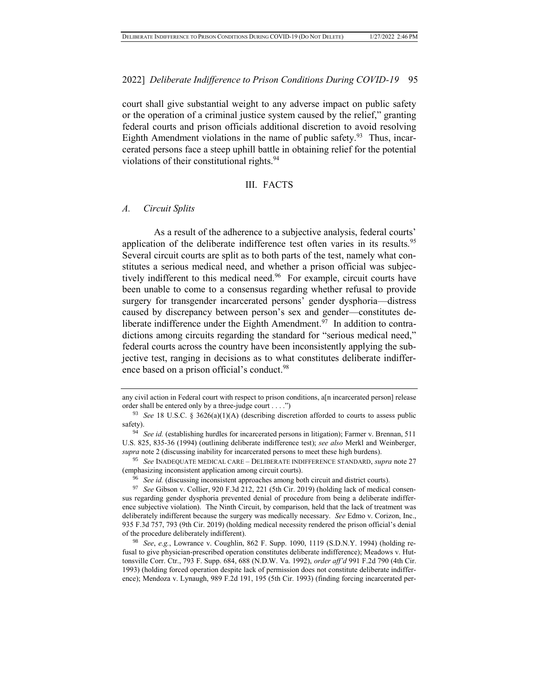court shall give substantial weight to any adverse impact on public safety or the operation of a criminal justice system caused by the relief," granting federal courts and prison officials additional discretion to avoid resolving Eighth Amendment violations in the name of public safety.<sup>93</sup> Thus, incarcerated persons face a steep uphill battle in obtaining relief for the potential violations of their constitutional rights.<sup>94</sup>

#### III. FACTS

#### *A. Circuit Splits*

As a result of the adherence to a subjective analysis, federal courts' application of the deliberate indifference test often varies in its results.<sup>95</sup> Several circuit courts are split as to both parts of the test, namely what constitutes a serious medical need, and whether a prison official was subjectively indifferent to this medical need.<sup>96</sup> For example, circuit courts have been unable to come to a consensus regarding whether refusal to provide surgery for transgender incarcerated persons' gender dysphoria—distress caused by discrepancy between person's sex and gender—constitutes deliberate indifference under the Eighth Amendment.<sup>97</sup> In addition to contradictions among circuits regarding the standard for "serious medical need," federal courts across the country have been inconsistently applying the subjective test, ranging in decisions as to what constitutes deliberate indifference based on a prison official's conduct.<sup>98</sup>

any civil action in Federal court with respect to prison conditions, a[n incarcerated person] release order shall be entered only by a three-judge court . . . .")

<sup>93</sup> *See* 18 U.S.C. § 3626(a)(1)(A) (describing discretion afforded to courts to assess public safety).

<sup>&</sup>lt;sup>94</sup> *See id.* (establishing hurdles for incarcerated persons in litigation); Farmer v. Brennan, 511 U.S. 825, 835-36 (1994) (outlining deliberate indifference test); *see also* Merkl and Weinberger, *supra* note 2 (discussing inability for incarcerated persons to meet these high burdens).

<sup>95</sup> *See* INADEQUATE MEDICAL CARE – DELIBERATE INDIFFERENCE STANDARD, *supra* note 27 (emphasizing inconsistent application among circuit courts).

<sup>96</sup> *See id.* (discussing inconsistent approaches among both circuit and district courts).

<sup>97</sup> *See* Gibson v. Collier, 920 F.3d 212, 221 (5th Cir. 2019) (holding lack of medical consensus regarding gender dysphoria prevented denial of procedure from being a deliberate indifference subjective violation). The Ninth Circuit, by comparison, held that the lack of treatment was deliberately indifferent because the surgery was medically necessary. *See* Edmo v. Corizon, Inc., 935 F.3d 757, 793 (9th Cir. 2019) (holding medical necessity rendered the prison official's denial of the procedure deliberately indifferent).

<sup>98</sup> *See*, *e.g.*, Lowrance v. Coughlin, 862 F. Supp. 1090, 1119 (S.D.N.Y. 1994) (holding refusal to give physician-prescribed operation constitutes deliberate indifference); Meadows v. Huttonsville Corr. Ctr., 793 F. Supp. 684, 688 (N.D.W. Va. 1992), *order aff'd* 991 F.2d 790 (4th Cir. 1993) (holding forced operation despite lack of permission does not constitute deliberate indifference); Mendoza v. Lynaugh, 989 F.2d 191, 195 (5th Cir. 1993) (finding forcing incarcerated per-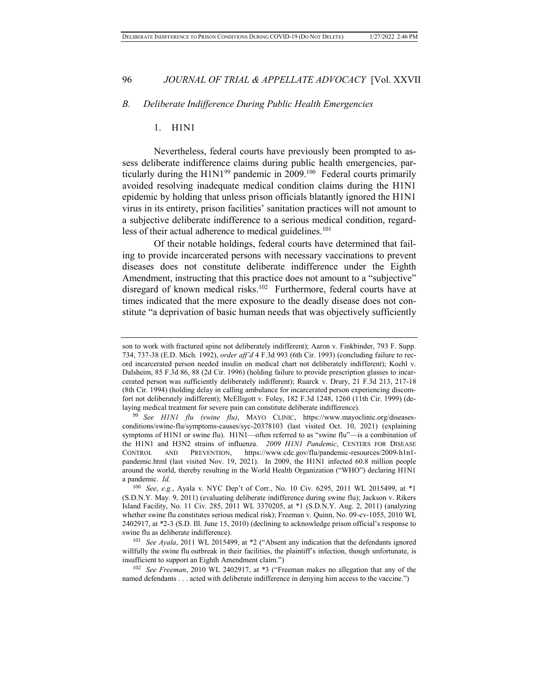#### *B. Deliberate Indifference During Public Health Emergencies*

#### 1. H1N1

Nevertheless, federal courts have previously been prompted to assess deliberate indifference claims during public health emergencies, particularly during the  $H1N1^{99}$  pandemic in 2009.<sup>100</sup> Federal courts primarily avoided resolving inadequate medical condition claims during the H1N1 epidemic by holding that unless prison officials blatantly ignored the H1N1 virus in its entirety, prison facilities' sanitation practices will not amount to a subjective deliberate indifference to a serious medical condition, regardless of their actual adherence to medical guidelines.<sup>101</sup>

Of their notable holdings, federal courts have determined that failing to provide incarcerated persons with necessary vaccinations to prevent diseases does not constitute deliberate indifference under the Eighth Amendment, instructing that this practice does not amount to a "subjective" disregard of known medical risks.<sup>102</sup> Furthermore, federal courts have at times indicated that the mere exposure to the deadly disease does not constitute "a deprivation of basic human needs that was objectively sufficiently

son to work with fractured spine not deliberately indifferent); Aaron v. Finkbinder, 793 F. Supp. 734, 737-38 (E.D. Mich. 1992), *order aff'd* 4 F.3d 993 (6th Cir. 1993) (concluding failure to record incarcerated person needed insulin on medical chart not deliberately indifferent); Koehl v. Dalsheim, 85 F.3d 86, 88 (2d Cir. 1996) (holding failure to provide prescription glasses to incarcerated person was sufficiently deliberately indifferent); Ruarck v. Drury, 21 F.3d 213, 217-18 (8th Cir. 1994) (holding delay in calling ambulance for incarcerated person experiencing discomfort not deliberately indifferent); McElligott v. Foley, 182 F.3d 1248, 1260 (11th Cir. 1999) (delaying medical treatment for severe pain can constitute deliberate indifference).

<sup>99</sup> *See H1N1 flu (swine flu)*, MAYO CLINIC, https://www.mayoclinic.org/diseasesconditions/swine-flu/symptoms-causes/syc-20378103 (last visited Oct. 10, 2021) (explaining symptoms of H1N1 or swine flu). H1N1—often referred to as "swine flu"—is a combination of the H1N1 and H3N2 strains of influenza. *2009 H1N1 Pandemic*, CENTERS FOR DISEASE CONTROL AND PREVENTION, https://www.cdc.gov/flu/pandemic-resources/2009-h1n1 pandemic.html (last visited Nov. 19, 2021). In 2009, the H1N1 infected 60.8 million people around the world, thereby resulting in the World Health Organization ("WHO") declaring H1N1 a pandemic. *Id.*

<sup>100</sup> *See*, *e.g.*, Ayala v. NYC Dep't of Corr., No. 10 Civ. 6295, 2011 WL 2015499, at \*1 (S.D.N.Y. May. 9, 2011) (evaluating deliberate indifference during swine flu); Jackson v. Rikers Island Facility, No. 11 Civ. 285, 2011 WL 3370205, at \*1 (S.D.N.Y. Aug. 2, 2011) (analyzing whether swine flu constitutes serious medical risk); Freeman v. Quinn, No. 09-cv-1055, 2010 WL 2402917, at \*2-3 (S.D. Ill. June 15, 2010) (declining to acknowledge prison official's response to swine flu as deliberate indifference).

<sup>101</sup> *See Ayala*, 2011 WL 2015499, at \*2 ("Absent any indication that the defendants ignored willfully the swine flu outbreak in their facilities, the plaintiff's infection, though unfortunate, is insufficient to support an Eighth Amendment claim.")

<sup>102</sup> *See Freeman*, 2010 WL 2402917, at \*3 ("Freeman makes no allegation that any of the named defendants . . . acted with deliberate indifference in denying him access to the vaccine.")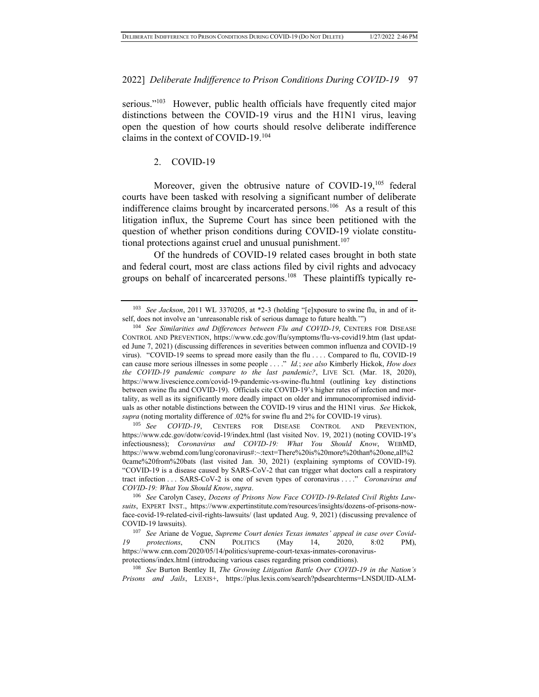serious."<sup>103</sup> However, public health officials have frequently cited major distinctions between the COVID-19 virus and the H1N1 virus, leaving open the question of how courts should resolve deliberate indifference claims in the context of COVID-19.<sup>104</sup>

#### 2. COVID-19

Moreover, given the obtrusive nature of COVID-19,<sup>105</sup> federal courts have been tasked with resolving a significant number of deliberate indifference claims brought by incarcerated persons.<sup>106</sup> As a result of this litigation influx, the Supreme Court has since been petitioned with the question of whether prison conditions during COVID-19 violate constitutional protections against cruel and unusual punishment.<sup>107</sup>

Of the hundreds of COVID-19 related cases brought in both state and federal court, most are class actions filed by civil rights and advocacy groups on behalf of incarcerated persons.<sup>108</sup> These plaintiffs typically re-

<sup>105</sup> See COVID-19, CENTERS FOR DISEASE CONTROL AND PREVENTION, https://www.cdc.gov/dotw/covid-19/index.html (last visited Nov. 19, 2021) (noting COVID-19's infectiousness); *Coronavirus and COVID-19: What You Should Know*, WEBMD, https://www.webmd.com/lung/coronavirus#:~:text=There%20is%20more%20than%20one,all%2 0came%20from%20bats (last visited Jan. 30, 2021) (explaining symptoms of COVID-19). "COVID-19 is a disease caused by SARS-CoV-2 that can trigger what doctors call a respiratory tract infection . . . SARS-CoV-2 is one of seven types of coronavirus . . . ." *Coronavirus and COVID-19: What You Should Know*, *supra*.

<sup>103</sup> *See Jackson*, 2011 WL 3370205, at \*2-3 (holding "[e]xposure to swine flu, in and of itself, does not involve an 'unreasonable risk of serious damage to future health.'")

<sup>104</sup> *See Similarities and Differences between Flu and COVID-19*, CENTERS FOR DISEASE CONTROL AND PREVENTION, https://www.cdc.gov/flu/symptoms/flu-vs-covid19.htm (last updated June 7, 2021) (discussing differences in severities between common influenza and COVID-19 virus). "COVID-19 seems to spread more easily than the flu . . . . Compared to flu, COVID-19 can cause more serious illnesses in some people . . . ." *Id.*; *see also* Kimberly Hickok, *How does the COVID-19 pandemic compare to the last pandemic?*, LIVE SCI. (Mar. 18, 2020), https://www.livescience.com/covid-19-pandemic-vs-swine-flu.html (outlining key distinctions between swine flu and COVID-19). Officials cite COVID-19's higher rates of infection and mortality, as well as its significantly more deadly impact on older and immunocompromised individuals as other notable distinctions between the COVID-19 virus and the H1N1 virus. *See* Hickok, *supra* (noting mortality difference of .02% for swine flu and 2% for COVID-19 virus).

<sup>106</sup> *See* Carolyn Casey, *Dozens of Prisons Now Face COVID-19-Related Civil Rights Lawsuits*, EXPERT INST., https://www.expertinstitute.com/resources/insights/dozens-of-prisons-nowface-covid-19-related-civil-rights-lawsuits/ (last updated Aug. 9, 2021) (discussing prevalence of COVID-19 lawsuits).

<sup>107</sup> *See* Ariane de Vogue, *Supreme Court denies Texas inmates' appeal in case over Covid-19 protections*, CNN POLITICS (May 14, 2020, 8:02 PM), https://www.cnn.com/2020/05/14/politics/supreme-court-texas-inmates-coronavirusprotections/index.html (introducing various cases regarding prison conditions).

<sup>108</sup> *See* Burton Bentley II, *The Growing Litigation Battle Over COVID-19 in the Nation's Prisons and Jails*, LEXIS+, https://plus.lexis.com/search?pdsearchterms=LNSDUID-ALM-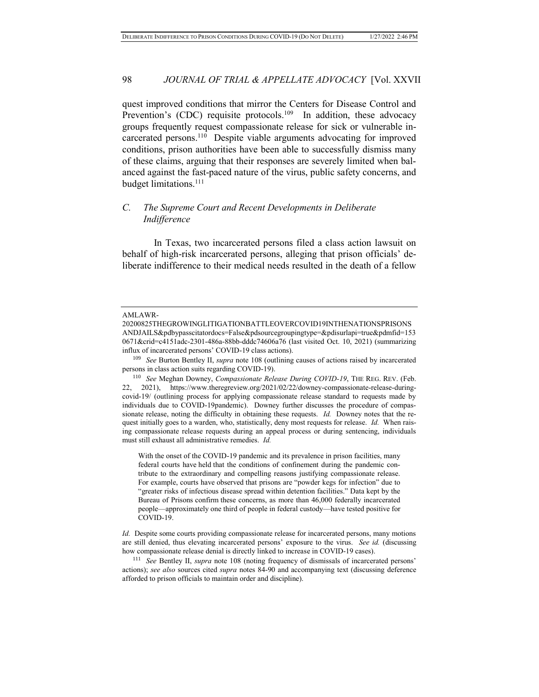quest improved conditions that mirror the Centers for Disease Control and Prevention's (CDC) requisite protocols.<sup>109</sup> In addition, these advocacy groups frequently request compassionate release for sick or vulnerable incarcerated persons.<sup>110</sup> Despite viable arguments advocating for improved conditions, prison authorities have been able to successfully dismiss many of these claims, arguing that their responses are severely limited when balanced against the fast-paced nature of the virus, public safety concerns, and budget limitations.<sup>111</sup>

## *C. The Supreme Court and Recent Developments in Deliberate Indifference*

In Texas, two incarcerated persons filed a class action lawsuit on behalf of high-risk incarcerated persons, alleging that prison officials' deliberate indifference to their medical needs resulted in the death of a fellow

With the onset of the COVID-19 pandemic and its prevalence in prison facilities, many federal courts have held that the conditions of confinement during the pandemic contribute to the extraordinary and compelling reasons justifying compassionate release. For example, courts have observed that prisons are "powder kegs for infection" due to "greater risks of infectious disease spread within detention facilities." Data kept by the Bureau of Prisons confirm these concerns, as more than 46,000 federally incarcerated people—approximately one third of people in federal custody—have tested positive for COVID-19.

*Id.* Despite some courts providing compassionate release for incarcerated persons, many motions are still denied, thus elevating incarcerated persons' exposure to the virus. *See id.* (discussing how compassionate release denial is directly linked to increase in COVID-19 cases).

<sup>111</sup> *See* Bentley II, *supra* note 108 (noting frequency of dismissals of incarcerated persons' actions); *see also* sources cited *supra* notes 84-90 and accompanying text (discussing deference afforded to prison officials to maintain order and discipline).

AMLAWR-

<sup>20200825</sup>THEGROWINGLITIGATIONBATTLEOVERCOVID19INTHENATIONSPRISONS ANDJAILS&pdbypasscitatordocs=False&pdsourcegroupingtype=&pdisurlapi=true&pdmfid=153 0671&crid=c4151adc-2301-486a-88bb-dddc74606a76 (last visited Oct. 10, 2021) (summarizing influx of incarcerated persons' COVID-19 class actions).

<sup>109</sup> *See* Burton Bentley II, *supra* note 108 (outlining causes of actions raised by incarcerated persons in class action suits regarding COVID-19).

<sup>110</sup> *See* Meghan Downey, *Compassionate Release During COVID-19*, THE REG. REV. (Feb. 22, 2021), https://www.theregreview.org/2021/02/22/downey-compassionate-release-duringcovid-19/ (outlining process for applying compassionate release standard to requests made by individuals due to COVID-19pandemic). Downey further discusses the procedure of compassionate release, noting the difficulty in obtaining these requests. *Id.* Downey notes that the request initially goes to a warden, who, statistically, deny most requests for release. *Id.* When raising compassionate release requests during an appeal process or during sentencing, individuals must still exhaust all administrative remedies. *Id.*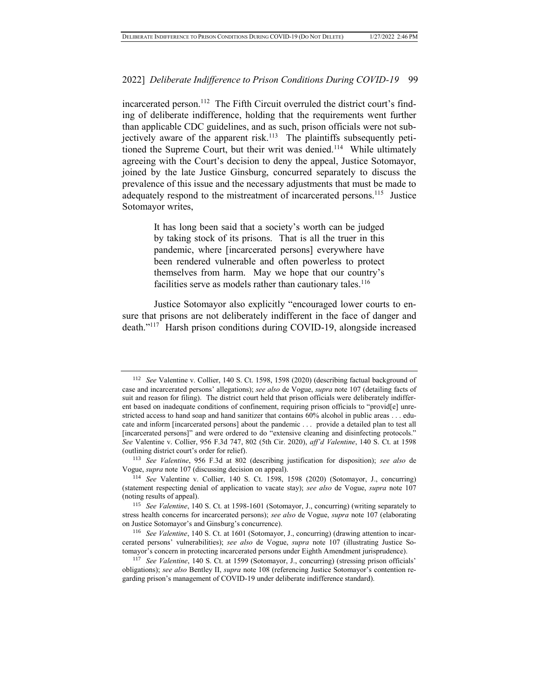incarcerated person.<sup>112</sup> The Fifth Circuit overruled the district court's finding of deliberate indifference, holding that the requirements went further than applicable CDC guidelines, and as such, prison officials were not subjectively aware of the apparent risk.<sup>113</sup> The plaintiffs subsequently petitioned the Supreme Court, but their writ was denied.<sup>114</sup> While ultimately agreeing with the Court's decision to deny the appeal, Justice Sotomayor, joined by the late Justice Ginsburg, concurred separately to discuss the prevalence of this issue and the necessary adjustments that must be made to adequately respond to the mistreatment of incarcerated persons.<sup>115</sup> Justice Sotomayor writes,

> It has long been said that a society's worth can be judged by taking stock of its prisons. That is all the truer in this pandemic, where [incarcerated persons] everywhere have been rendered vulnerable and often powerless to protect themselves from harm. May we hope that our country's facilities serve as models rather than cautionary tales.<sup>116</sup>

Justice Sotomayor also explicitly "encouraged lower courts to ensure that prisons are not deliberately indifferent in the face of danger and death."<sup>117</sup> Harsh prison conditions during COVID-19, alongside increased

<sup>112</sup> *See* Valentine v. Collier, 140 S. Ct. 1598, 1598 (2020) (describing factual background of case and incarcerated persons' allegations); *see also* de Vogue, *supra* note 107 (detailing facts of suit and reason for filing). The district court held that prison officials were deliberately indifferent based on inadequate conditions of confinement, requiring prison officials to "provid[e] unrestricted access to hand soap and hand sanitizer that contains 60% alcohol in public areas . . . educate and inform [incarcerated persons] about the pandemic . . . provide a detailed plan to test all [incarcerated persons]" and were ordered to do "extensive cleaning and disinfecting protocols." *See* Valentine v. Collier, 956 F.3d 747, 802 (5th Cir. 2020), *aff'd Valentine*, 140 S. Ct. at 1598 (outlining district court's order for relief).

<sup>113</sup> *See Valentine*, 956 F.3d at 802 (describing justification for disposition); *see also* de Vogue, *supra* note 107 (discussing decision on appeal).

<sup>114</sup> *See* Valentine v. Collier, 140 S. Ct. 1598, 1598 (2020) (Sotomayor, J., concurring) (statement respecting denial of application to vacate stay); *see also* de Vogue, *supra* note 107 (noting results of appeal).

<sup>115</sup> *See Valentine*, 140 S. Ct. at 1598-1601 (Sotomayor, J., concurring) (writing separately to stress health concerns for incarcerated persons); *see also* de Vogue, *supra* note 107 (elaborating on Justice Sotomayor's and Ginsburg's concurrence).

<sup>116</sup> *See Valentine*, 140 S. Ct. at 1601 (Sotomayor, J., concurring) (drawing attention to incarcerated persons' vulnerabilities); *see also* de Vogue, *supra* note 107 (illustrating Justice Sotomayor's concern in protecting incarcerated persons under Eighth Amendment jurisprudence).

<sup>117</sup> *See Valentine*, 140 S. Ct. at 1599 (Sotomayor, J., concurring) (stressing prison officials' obligations); *see also* Bentley II, *supra* note 108 (referencing Justice Sotomayor's contention regarding prison's management of COVID-19 under deliberate indifference standard).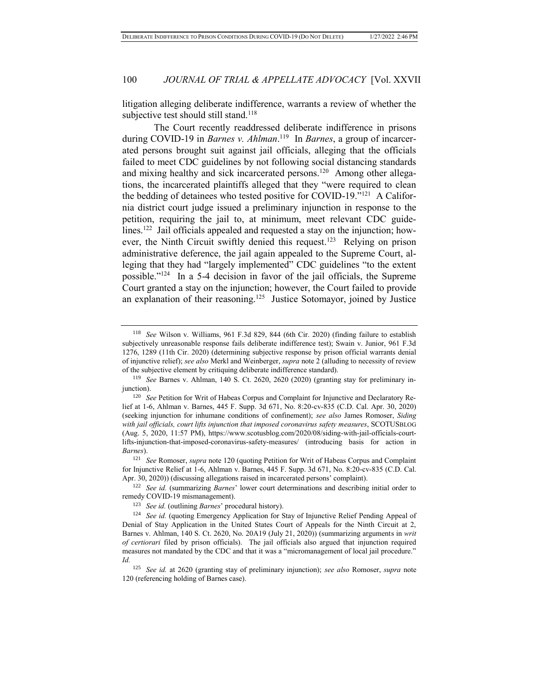litigation alleging deliberate indifference, warrants a review of whether the subjective test should still stand.<sup>118</sup>

The Court recently readdressed deliberate indifference in prisons during COVID-19 in *Barnes v. Ahlman*.<sup>119</sup> In *Barnes*, a group of incarcerated persons brought suit against jail officials, alleging that the officials failed to meet CDC guidelines by not following social distancing standards and mixing healthy and sick incarcerated persons.<sup>120</sup> Among other allegations, the incarcerated plaintiffs alleged that they "were required to clean the bedding of detainees who tested positive for COVID-19."<sup>121</sup> A California district court judge issued a preliminary injunction in response to the petition, requiring the jail to, at minimum, meet relevant CDC guidelines.<sup>122</sup> Jail officials appealed and requested a stay on the injunction; however, the Ninth Circuit swiftly denied this request.<sup>123</sup> Relying on prison administrative deference, the jail again appealed to the Supreme Court, alleging that they had "largely implemented" CDC guidelines "to the extent possible."<sup>124</sup> In a 5-4 decision in favor of the jail officials, the Supreme Court granted a stay on the injunction; however, the Court failed to provide an explanation of their reasoning.<sup>125</sup> Justice Sotomayor, joined by Justice

<sup>122</sup> *See id.* (summarizing *Barnes*' lower court determinations and describing initial order to remedy COVID-19 mismanagement).

<sup>118</sup> *See* Wilson v. Williams, 961 F.3d 829, 844 (6th Cir. 2020) (finding failure to establish subjectively unreasonable response fails deliberate indifference test); Swain v. Junior, 961 F.3d 1276, 1289 (11th Cir. 2020) (determining subjective response by prison official warrants denial of injunctive relief); *see also* Merkl and Weinberger, *supra* note 2 (alluding to necessity of review of the subjective element by critiquing deliberate indifference standard).

<sup>119</sup> *See* Barnes v. Ahlman, 140 S. Ct. 2620, 2620 (2020) (granting stay for preliminary injunction).

<sup>&</sup>lt;sup>120</sup> *See* Petition for Writ of Habeas Corpus and Complaint for Injunctive and Declaratory Relief at 1-6, Ahlman v. Barnes, 445 F. Supp. 3d 671, No. 8:20-cv-835 (C.D. Cal. Apr. 30, 2020) (seeking injunction for inhumane conditions of confinement); *see also* James Romoser, *Siding with jail officials, court lifts injunction that imposed coronavirus safety measures*, SCOTUSBLOG (Aug. 5, 2020, 11:57 PM), https://www.scotusblog.com/2020/08/siding-with-jail-officials-courtlifts-injunction-that-imposed-coronavirus-safety-measures/ (introducing basis for action in *Barnes*).

<sup>121</sup> *See* Romoser, *supra* note 120 (quoting Petition for Writ of Habeas Corpus and Complaint for Injunctive Relief at 1-6, Ahlman v. Barnes, 445 F. Supp. 3d 671, No. 8:20-cv-835 (C.D. Cal. Apr. 30, 2020)) (discussing allegations raised in incarcerated persons' complaint).

<sup>123</sup> *See id.* (outlining *Barnes*' procedural history).

<sup>&</sup>lt;sup>124</sup> *See id.* (quoting Emergency Application for Stay of Injunctive Relief Pending Appeal of Denial of Stay Application in the United States Court of Appeals for the Ninth Circuit at 2, Barnes v. Ahlman, 140 S. Ct. 2620, No. 20A19 (July 21, 2020)) (summarizing arguments in *writ of certiorari* filed by prison officials).The jail officials also argued that injunction required measures not mandated by the CDC and that it was a "micromanagement of local jail procedure." *Id.* 

<sup>125</sup> *See id.* at 2620 (granting stay of preliminary injunction); *see also* Romoser, *supra* note 120 (referencing holding of Barnes case).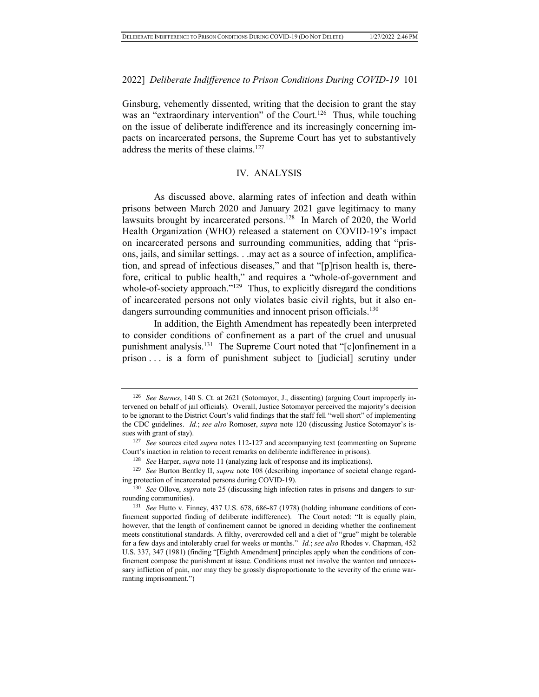Ginsburg, vehemently dissented, writing that the decision to grant the stay was an "extraordinary intervention" of the Court.<sup>126</sup> Thus, while touching on the issue of deliberate indifference and its increasingly concerning impacts on incarcerated persons, the Supreme Court has yet to substantively address the merits of these claims.<sup>127</sup>

## IV. ANALYSIS

As discussed above, alarming rates of infection and death within prisons between March 2020 and January 2021 gave legitimacy to many lawsuits brought by incarcerated persons.<sup>128</sup> In March of 2020, the World Health Organization (WHO) released a statement on COVID-19's impact on incarcerated persons and surrounding communities, adding that "prisons, jails, and similar settings. . .may act as a source of infection, amplification, and spread of infectious diseases," and that "[p]rison health is, therefore, critical to public health," and requires a "whole-of-government and whole-of-society approach."<sup>129</sup> Thus, to explicitly disregard the conditions of incarcerated persons not only violates basic civil rights, but it also endangers surrounding communities and innocent prison officials.<sup>130</sup>

In addition, the Eighth Amendment has repeatedly been interpreted to consider conditions of confinement as a part of the cruel and unusual punishment analysis.<sup>131</sup> The Supreme Court noted that "[c]onfinement in a prison . . . is a form of punishment subject to [judicial] scrutiny under

<sup>126</sup> *See Barnes*, 140 S. Ct. at 2621 (Sotomayor, J., dissenting) (arguing Court improperly intervened on behalf of jail officials). Overall, Justice Sotomayor perceived the majority's decision to be ignorant to the District Court's valid findings that the staff fell "well short" of implementing the CDC guidelines. *Id.*; *see also* Romoser, *supra* note 120 (discussing Justice Sotomayor's issues with grant of stay).

<sup>127</sup> *See* sources cited *supra* notes 112-127 and accompanying text (commenting on Supreme Court's inaction in relation to recent remarks on deliberate indifference in prisons).

<sup>128</sup> *See* Harper, *supra* note 11 (analyzing lack of response and its implications).

<sup>129</sup> *See* Burton Bentley II, *supra* note 108 (describing importance of societal change regarding protection of incarcerated persons during COVID-19).

<sup>130</sup> *See* Ollove, *supra* note 25 (discussing high infection rates in prisons and dangers to surrounding communities).

<sup>131</sup> *See* Hutto v. Finney, 437 U.S. 678, 686-87 (1978) (holding inhumane conditions of confinement supported finding of deliberate indifference). The Court noted: "It is equally plain, however, that the length of confinement cannot be ignored in deciding whether the confinement meets constitutional standards. A filthy, overcrowded cell and a diet of "grue" might be tolerable for a few days and intolerably cruel for weeks or months." *Id.*; *see also* Rhodes v. Chapman, 452 U.S. 337, 347 (1981) (finding "[Eighth Amendment] principles apply when the conditions of confinement compose the punishment at issue. Conditions must not involve the wanton and unnecessary infliction of pain, nor may they be grossly disproportionate to the severity of the crime warranting imprisonment.")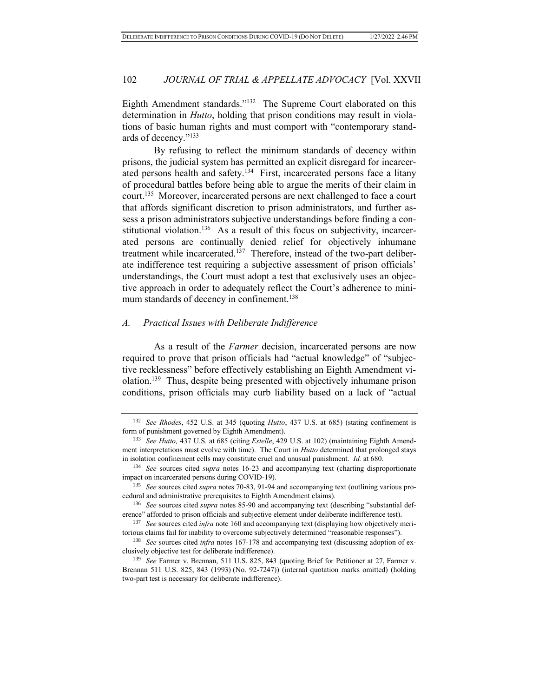Eighth Amendment standards."<sup>132</sup> The Supreme Court elaborated on this determination in *Hutto*, holding that prison conditions may result in violations of basic human rights and must comport with "contemporary standards of decency."<sup>133</sup>

By refusing to reflect the minimum standards of decency within prisons, the judicial system has permitted an explicit disregard for incarcerated persons health and safety.<sup>134</sup> First, incarcerated persons face a litany of procedural battles before being able to argue the merits of their claim in court.<sup>135</sup> Moreover, incarcerated persons are next challenged to face a court that affords significant discretion to prison administrators, and further assess a prison administrators subjective understandings before finding a constitutional violation.<sup>136</sup> As a result of this focus on subjectivity, incarcerated persons are continually denied relief for objectively inhumane treatment while incarcerated.<sup>137</sup> Therefore, instead of the two-part deliberate indifference test requiring a subjective assessment of prison officials' understandings, the Court must adopt a test that exclusively uses an objective approach in order to adequately reflect the Court's adherence to minimum standards of decency in confinement.<sup>138</sup>

#### *A. Practical Issues with Deliberate Indifference*

As a result of the *Farmer* decision, incarcerated persons are now required to prove that prison officials had "actual knowledge" of "subjective recklessness" before effectively establishing an Eighth Amendment violation.<sup>139</sup> Thus, despite being presented with objectively inhumane prison conditions, prison officials may curb liability based on a lack of "actual

<sup>132</sup> *See Rhodes*, 452 U.S. at 345 (quoting *Hutto*, 437 U.S. at 685) (stating confinement is form of punishment governed by Eighth Amendment).

<sup>&</sup>lt;sup>133</sup> See Hutto, 437 U.S. at 685 (citing *Estelle*, 429 U.S. at 102) (maintaining Eighth Amendment interpretations must evolve with time). The Court in *Hutto* determined that prolonged stays in isolation confinement cells may constitute cruel and unusual punishment. *Id.* at 680.

<sup>134</sup> *See* sources cited *supra* notes 16-23 and accompanying text (charting disproportionate impact on incarcerated persons during COVID-19).

<sup>135</sup> *See* sources cited *supra* notes 70-83, 91-94 and accompanying text (outlining various procedural and administrative prerequisites to Eighth Amendment claims).

<sup>136</sup> *See* sources cited *supra* notes 85-90 and accompanying text (describing "substantial deference" afforded to prison officials and subjective element under deliberate indifference test).

<sup>137</sup> *See* sources cited *infra* note 160 and accompanying text (displaying how objectively meritorious claims fail for inability to overcome subjectively determined "reasonable responses").

<sup>138</sup> *See* sources cited *infra* notes 167-178 and accompanying text (discussing adoption of exclusively objective test for deliberate indifference).

<sup>139</sup> *See* Farmer v. Brennan, 511 U.S. 825, 843 (quoting Brief for Petitioner at 27, Farmer v. Brennan 511 U.S. 825, 843 (1993) (No. 92-7247)) (internal quotation marks omitted) (holding two-part test is necessary for deliberate indifference).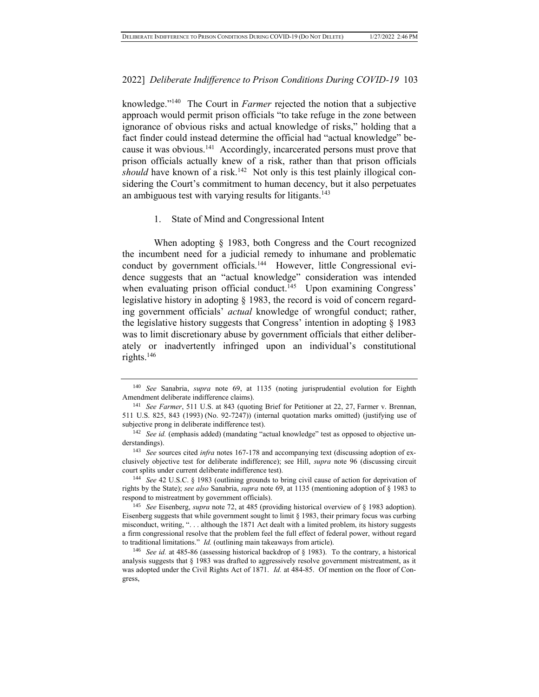knowledge."<sup>140</sup> The Court in *Farmer* rejected the notion that a subjective approach would permit prison officials "to take refuge in the zone between ignorance of obvious risks and actual knowledge of risks," holding that a fact finder could instead determine the official had "actual knowledge" because it was obvious.<sup>141</sup> Accordingly, incarcerated persons must prove that prison officials actually knew of a risk, rather than that prison officials should have known of a risk.<sup>142</sup> Not only is this test plainly illogical considering the Court's commitment to human decency, but it also perpetuates an ambiguous test with varying results for litigants.<sup>143</sup>

#### 1. State of Mind and Congressional Intent

When adopting § 1983, both Congress and the Court recognized the incumbent need for a judicial remedy to inhumane and problematic conduct by government officials.<sup>144</sup> However, little Congressional evidence suggests that an "actual knowledge" consideration was intended when evaluating prison official conduct.<sup>145</sup> Upon examining Congress' legislative history in adopting § 1983, the record is void of concern regarding government officials' *actual* knowledge of wrongful conduct; rather, the legislative history suggests that Congress' intention in adopting  $\S$  1983 was to limit discretionary abuse by government officials that either deliberately or inadvertently infringed upon an individual's constitutional rights. $146$ 

<sup>144</sup> *See* 42 U.S.C. § 1983 (outlining grounds to bring civil cause of action for deprivation of rights by the State); *see also* Sanabria, *supra* note 69, at 1135 (mentioning adoption of § 1983 to respond to mistreatment by government officials).

<sup>145</sup> *See* Eisenberg, *supra* note 72, at 485 (providing historical overview of § 1983 adoption). Eisenberg suggests that while government sought to limit § 1983, their primary focus was curbing misconduct, writing, ". . . although the 1871 Act dealt with a limited problem, its history suggests a firm congressional resolve that the problem feel the full effect of federal power, without regard to traditional limitations." *Id.* (outlining main takeaways from article).

<sup>146</sup> *See id.* at 485-86 (assessing historical backdrop of § 1983). To the contrary, a historical analysis suggests that § 1983 was drafted to aggressively resolve government mistreatment, as it was adopted under the Civil Rights Act of 1871. *Id.* at 484-85. Of mention on the floor of Congress,

<sup>140</sup> *See* Sanabria, *supra* note 69, at 1135 (noting jurisprudential evolution for Eighth Amendment deliberate indifference claims).

<sup>141</sup> *See Farmer*, 511 U.S. at 843 (quoting Brief for Petitioner at 22, 27, Farmer v. Brennan, 511 U.S. 825, 843 (1993) (No. 92-7247)) (internal quotation marks omitted) (justifying use of subjective prong in deliberate indifference test).

<sup>&</sup>lt;sup>142</sup> *See id.* (emphasis added) (mandating "actual knowledge" test as opposed to objective understandings).

<sup>143</sup> *See* sources cited *infra* notes 167-178 and accompanying text (discussing adoption of exclusively objective test for deliberate indifference); see Hill, *supra* note 96 (discussing circuit court splits under current deliberate indifference test).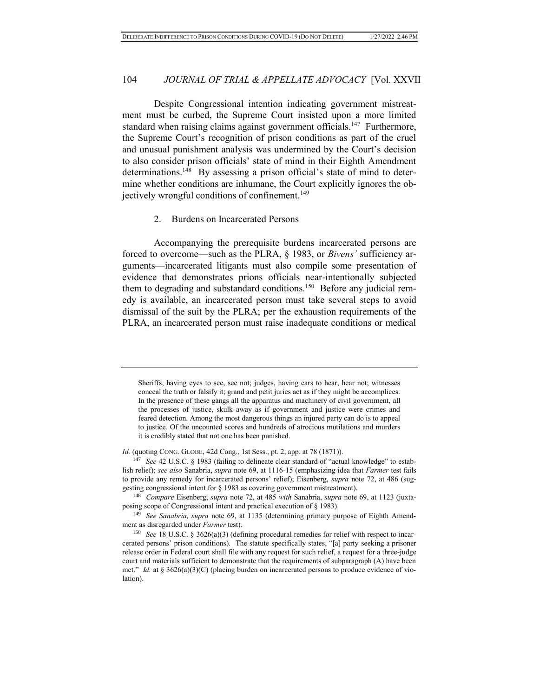Despite Congressional intention indicating government mistreatment must be curbed, the Supreme Court insisted upon a more limited standard when raising claims against government officials.<sup>147</sup> Furthermore, the Supreme Court's recognition of prison conditions as part of the cruel and unusual punishment analysis was undermined by the Court's decision to also consider prison officials' state of mind in their Eighth Amendment determinations.<sup>148</sup> By assessing a prison official's state of mind to determine whether conditions are inhumane, the Court explicitly ignores the objectively wrongful conditions of confinement.<sup>149</sup>

#### 2. Burdens on Incarcerated Persons

Accompanying the prerequisite burdens incarcerated persons are forced to overcome—such as the PLRA, § 1983, or *Bivens'* sufficiency arguments—incarcerated litigants must also compile some presentation of evidence that demonstrates prions officials near-intentionally subjected them to degrading and substandard conditions.<sup>150</sup> Before any judicial remedy is available, an incarcerated person must take several steps to avoid dismissal of the suit by the PLRA; per the exhaustion requirements of the PLRA, an incarcerated person must raise inadequate conditions or medical

Sheriffs, having eyes to see, see not; judges, having ears to hear, hear not; witnesses conceal the truth or falsify it; grand and petit juries act as if they might be accomplices. In the presence of these gangs all the apparatus and machinery of civil government, all the processes of justice, skulk away as if government and justice were crimes and feared detection. Among the most dangerous things an injured party can do is to appeal to justice. Of the uncounted scores and hundreds of atrocious mutilations and murders it is credibly stated that not one has been punished.

*Id.* (quoting CONG. GLOBE, 42d Cong., 1st Sess., pt. 2, app. at 78 (1871)).

<sup>147</sup> *See* 42 U.S.C. § 1983 (failing to delineate clear standard of "actual knowledge" to establish relief); *see also* Sanabria, *supra* note 69, at 1116-15 (emphasizing idea that *Farmer* test fails to provide any remedy for incarcerated persons' relief); Eisenberg, *supra* note 72, at 486 (suggesting congressional intent for § 1983 as covering government mistreatment).

<sup>148</sup> *Compare* Eisenberg, *supra* note 72, at 485 *with* Sanabria, *supra* note 69, at 1123 (juxtaposing scope of Congressional intent and practical execution of § 1983).

<sup>149</sup> *See Sanabria, supra* note 69, at 1135 (determining primary purpose of Eighth Amendment as disregarded under *Farmer* test).

<sup>150</sup> *See* 18 U.S.C. § 3626(a)(3) (defining procedural remedies for relief with respect to incarcerated persons' prison conditions). The statute specifically states, "[a] party seeking a prisoner release order in Federal court shall file with any request for such relief, a request for a three-judge court and materials sufficient to demonstrate that the requirements of subparagraph (A) have been met." *Id.* at § 3626(a)(3)(C) (placing burden on incarcerated persons to produce evidence of violation).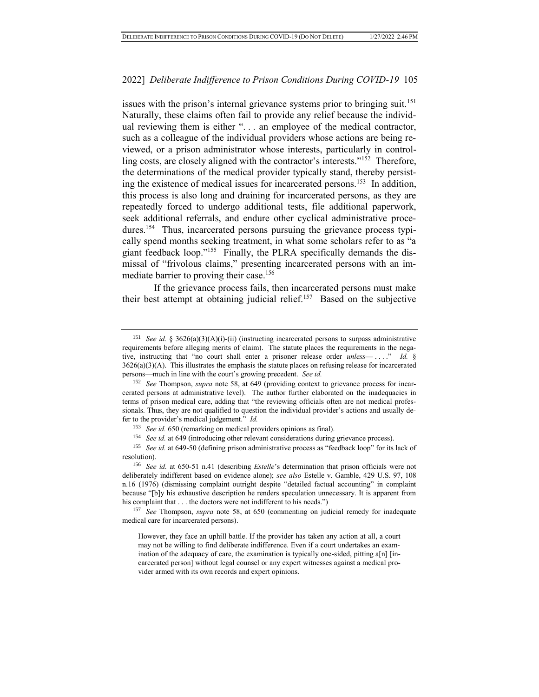issues with the prison's internal grievance systems prior to bringing suit.<sup>151</sup> Naturally, these claims often fail to provide any relief because the individual reviewing them is either ". . . an employee of the medical contractor, such as a colleague of the individual providers whose actions are being reviewed, or a prison administrator whose interests, particularly in controlling costs, are closely aligned with the contractor's interests."<sup>152</sup> Therefore, the determinations of the medical provider typically stand, thereby persisting the existence of medical issues for incarcerated persons.<sup>153</sup> In addition, this process is also long and draining for incarcerated persons, as they are repeatedly forced to undergo additional tests, file additional paperwork, seek additional referrals, and endure other cyclical administrative procedures.<sup>154</sup> Thus, incarcerated persons pursuing the grievance process typically spend months seeking treatment, in what some scholars refer to as "a giant feedback loop."<sup>155</sup> Finally, the PLRA specifically demands the dismissal of "frivolous claims," presenting incarcerated persons with an immediate barrier to proving their case.<sup>156</sup>

If the grievance process fails, then incarcerated persons must make their best attempt at obtaining judicial relief.<sup>157</sup> Based on the subjective

<sup>151</sup> *See id.* § 3626(a)(3)(A)(i)-(ii) (instructing incarcerated persons to surpass administrative requirements before alleging merits of claim). The statute places the requirements in the negative, instructing that "no court shall enter a prisoner release order *unless*— . . . ." *Id.* §  $3626(a)(3)(A)$ . This illustrates the emphasis the statute places on refusing release for incarcerated persons—much in line with the court's growing precedent. *See id.*

<sup>152</sup> *See* Thompson, *supra* note 58, at 649 (providing context to grievance process for incarcerated persons at administrative level). The author further elaborated on the inadequacies in terms of prison medical care, adding that "the reviewing officials often are not medical professionals. Thus, they are not qualified to question the individual provider's actions and usually defer to the provider's medical judgement." *Id.*

<sup>153</sup> *See id.* 650 (remarking on medical providers opinions as final).

<sup>154</sup> *See id.* at 649 (introducing other relevant considerations during grievance process).

<sup>155</sup> *See id.* at 649-50 (defining prison administrative process as "feedback loop" for its lack of resolution).

<sup>156</sup> *See id.* at 650-51 n.41 (describing *Estelle*'s determination that prison officials were not deliberately indifferent based on evidence alone); *see also* Estelle v. Gamble, 429 U.S. 97, 108 n.16 (1976) (dismissing complaint outright despite "detailed factual accounting" in complaint because "[b]y his exhaustive description he renders speculation unnecessary. It is apparent from his complaint that . . . the doctors were not indifferent to his needs.")

<sup>157</sup> *See* Thompson, *supra* note 58, at 650 (commenting on judicial remedy for inadequate medical care for incarcerated persons).

However, they face an uphill battle. If the provider has taken any action at all, a court may not be willing to find deliberate indifference. Even if a court undertakes an examination of the adequacy of care, the examination is typically one-sided, pitting a[n] [incarcerated person] without legal counsel or any expert witnesses against a medical provider armed with its own records and expert opinions.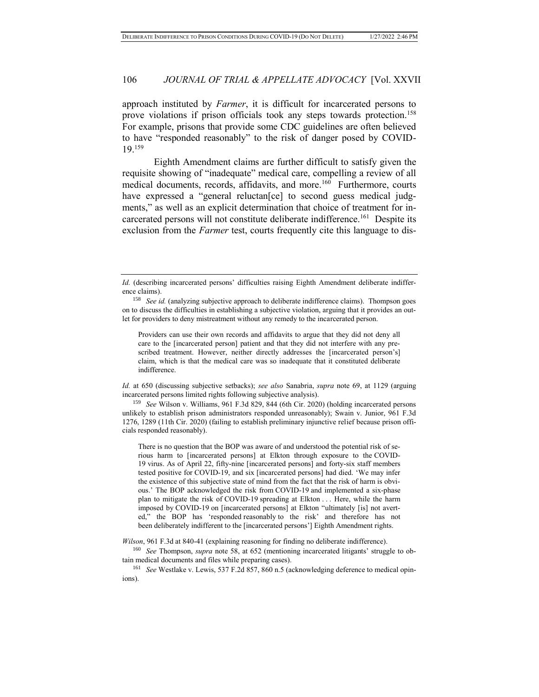approach instituted by *Farmer*, it is difficult for incarcerated persons to prove violations if prison officials took any steps towards protection.<sup>158</sup> For example, prisons that provide some CDC guidelines are often believed to have "responded reasonably" to the risk of danger posed by COVID-19.<sup>159</sup>

Eighth Amendment claims are further difficult to satisfy given the requisite showing of "inadequate" medical care, compelling a review of all medical documents, records, affidavits, and more.<sup>160</sup> Furthermore, courts have expressed a "general reluctan [ce] to second guess medical judgments," as well as an explicit determination that choice of treatment for incarcerated persons will not constitute deliberate indifference.<sup>161</sup> Despite its exclusion from the *Farmer* test, courts frequently cite this language to dis-

Providers can use their own records and affidavits to argue that they did not deny all care to the [incarcerated person] patient and that they did not interfere with any prescribed treatment. However, neither directly addresses the [incarcerated person's] claim, which is that the medical care was so inadequate that it constituted deliberate indifference.

*Id.* at 650 (discussing subjective setbacks); *see also* Sanabria, *supra* note 69, at 1129 (arguing incarcerated persons limited rights following subjective analysis).

<sup>159</sup> *See* Wilson v. Williams, 961 F.3d 829, 844 (6th Cir. 2020) (holding incarcerated persons unlikely to establish prison administrators responded unreasonably); Swain v. Junior, 961 F.3d 1276, 1289 (11th Cir. 2020) (failing to establish preliminary injunctive relief because prison officials responded reasonably).

There is no question that the BOP was aware of and understood the potential risk of serious harm to [incarcerated persons] at Elkton through exposure to the COVID-19 virus. As of April 22, fifty-nine [incarcerated persons] and forty-six staff members tested positive for COVID-19, and six [incarcerated persons] had died. 'We may infer the existence of this subjective state of mind from the fact that the risk of harm is obvious.' The BOP acknowledged the risk from COVID-19 and implemented a six-phase plan to mitigate the risk of COVID-19 spreading at Elkton . . . Here, while the harm imposed by COVID-19 on [incarcerated persons] at Elkton "ultimately [is] not averted," the BOP has 'responded reasonably to the risk' and therefore has not been deliberately indifferent to the [incarcerated persons'] Eighth Amendment rights.

*Wilson*, 961 F.3d at 840-41 (explaining reasoning for finding no deliberate indifference).

<sup>160</sup> *See* Thompson, *supra* note 58, at 652 (mentioning incarcerated litigants' struggle to obtain medical documents and files while preparing cases).

<sup>161</sup> *See* Westlake v. Lewis, 537 F.2d 857, 860 n.5 (acknowledging deference to medical opinions).

*Id.* (describing incarcerated persons' difficulties raising Eighth Amendment deliberate indifference claims).

<sup>&</sup>lt;sup>158</sup> *See id.* (analyzing subjective approach to deliberate indifference claims). Thompson goes on to discuss the difficulties in establishing a subjective violation, arguing that it provides an outlet for providers to deny mistreatment without any remedy to the incarcerated person.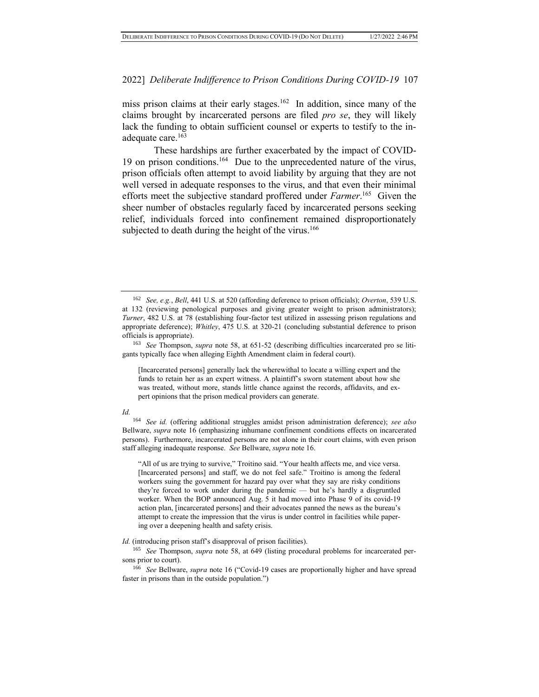miss prison claims at their early stages.<sup>162</sup> In addition, since many of the claims brought by incarcerated persons are filed *pro se*, they will likely lack the funding to obtain sufficient counsel or experts to testify to the inadequate care.<sup>163</sup>

These hardships are further exacerbated by the impact of COVID-19 on prison conditions.<sup>164</sup> Due to the unprecedented nature of the virus, prison officials often attempt to avoid liability by arguing that they are not well versed in adequate responses to the virus, and that even their minimal efforts meet the subjective standard proffered under *Farmer*. 165 Given the sheer number of obstacles regularly faced by incarcerated persons seeking relief, individuals forced into confinement remained disproportionately subjected to death during the height of the virus.<sup>166</sup>

[Incarcerated persons] generally lack the wherewithal to locate a willing expert and the funds to retain her as an expert witness. A plaintiff's sworn statement about how she was treated, without more, stands little chance against the records, affidavits, and expert opinions that the prison medical providers can generate.

*Id.*

<sup>164</sup> *See id.* (offering additional struggles amidst prison administration deference); *see also* Bellware, *supra* note 16 (emphasizing inhumane confinement conditions effects on incarcerated persons). Furthermore, incarcerated persons are not alone in their court claims, with even prison staff alleging inadequate response. *See* Bellware, *supra* note 16.

"All of us are trying to survive," Troitino said. "Your health affects me, and vice versa. [Incarcerated persons] and staff, we do not feel safe." Troitino is among the federal workers suing the government for hazard pay over what they say are risky conditions they're forced to work under during the pandemic — but he's hardly a disgruntled worker. When the BOP announced Aug. 5 it had moved into Phase 9 of its covid-19 action plan, [incarcerated persons] and their advocates panned the news as the bureau's attempt to create the impression that the virus is under control in facilities while papering over a deepening health and safety crisis.

*Id.* (introducing prison staff's disapproval of prison facilities).

<sup>165</sup> *See* Thompson, *supra* note 58, at 649 (listing procedural problems for incarcerated persons prior to court).

<sup>166</sup> *See* Bellware, *supra* note 16 ("Covid-19 cases are proportionally higher and have spread faster in prisons than in the outside population.")

<sup>162</sup> *See, e.g.*, *Bell*, 441 U.S. at 520 (affording deference to prison officials); *Overton*, 539 U.S. at 132 (reviewing penological purposes and giving greater weight to prison administrators); *Turner*, 482 U.S. at 78 (establishing four-factor test utilized in assessing prison regulations and appropriate deference); *Whitley*, 475 U.S. at 320-21 (concluding substantial deference to prison officials is appropriate).

<sup>163</sup> *See* Thompson, *supra* note 58, at 651-52 (describing difficulties incarcerated pro se litigants typically face when alleging Eighth Amendment claim in federal court).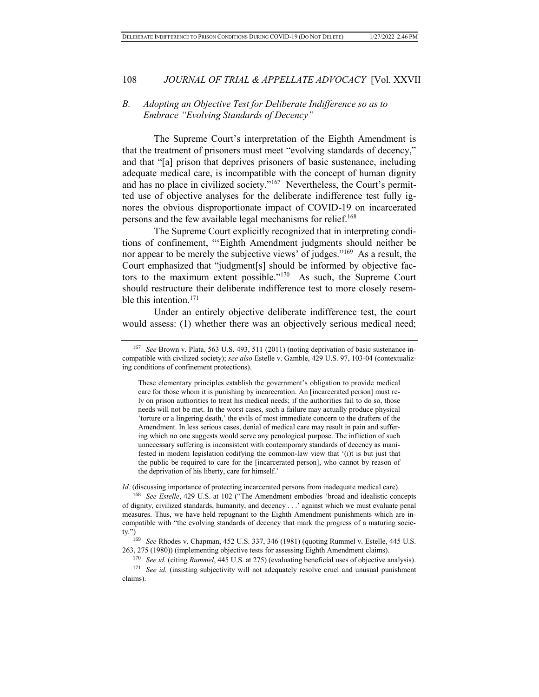#### *B. Adopting an Objective Test for Deliberate Indifference so as to Embrace "Evolving Standards of Decency"*

The Supreme Court's interpretation of the Eighth Amendment is that the treatment of prisoners must meet "evolving standards of decency," and that "[a] prison that deprives prisoners of basic sustenance, including adequate medical care, is incompatible with the concept of human dignity and has no place in civilized society."<sup>167</sup> Nevertheless, the Court's permitted use of objective analyses for the deliberate indifference test fully ignores the obvious disproportionate impact of COVID-19 on incarcerated persons and the few available legal mechanisms for relief.<sup>168</sup>

The Supreme Court explicitly recognized that in interpreting conditions of confinement, "'Eighth Amendment judgments should neither be nor appear to be merely the subjective views' of judges."<sup>169</sup> As a result, the Court emphasized that "judgment[s] should be informed by objective factors to the maximum extent possible."<sup>170</sup> As such, the Supreme Court should restructure their deliberate indifference test to more closely resemble this intention.<sup>171</sup>

Under an entirely objective deliberate indifference test, the court would assess: (1) whether there was an objectively serious medical need;

*Id.* (discussing importance of protecting incarcerated persons from inadequate medical care).

<sup>167</sup> *See* Brown v. Plata, 563 U.S. 493, 511 (2011) (noting deprivation of basic sustenance incompatible with civilized society); *see also* Estelle v. Gamble, 429 U.S. 97, 103-04 (contextualizing conditions of confinement protections).

These elementary principles establish the government's obligation to provide medical care for those whom it is punishing by incarceration. An [incarcerated person] must rely on prison authorities to treat his medical needs; if the authorities fail to do so, those needs will not be met. In the worst cases, such a failure may actually produce physical 'torture or a lingering death,' the evils of most immediate concern to the drafters of the Amendment. In less serious cases, denial of medical care may result in pain and suffering which no one suggests would serve any penological purpose. The infliction of such unnecessary suffering is inconsistent with contemporary standards of decency as manifested in modern legislation codifying the common-law view that '(i)t is but just that the public be required to care for the [incarcerated person], who cannot by reason of the deprivation of his liberty, care for himself.'

<sup>168</sup> *See Estelle*, 429 U.S. at 102 ("The Amendment embodies 'broad and idealistic concepts of dignity, civilized standards, humanity, and decency . . .' against which we must evaluate penal measures. Thus, we have held repugnant to the Eighth Amendment punishments which are incompatible with "the evolving standards of decency that mark the progress of a maturing society.")

<sup>169</sup> *See* Rhodes v. Chapman, 452 U.S. 337, 346 (1981) (quoting Rummel v. Estelle, 445 U.S. 263, 275 (1980)) (implementing objective tests for assessing Eighth Amendment claims).

<sup>170</sup> *See id.* (citing *Rummel*, 445 U.S. at 275) (evaluating beneficial uses of objective analysis). <sup>171</sup> *See id.* (insisting subjectivity will not adequately resolve cruel and unusual punishment claims).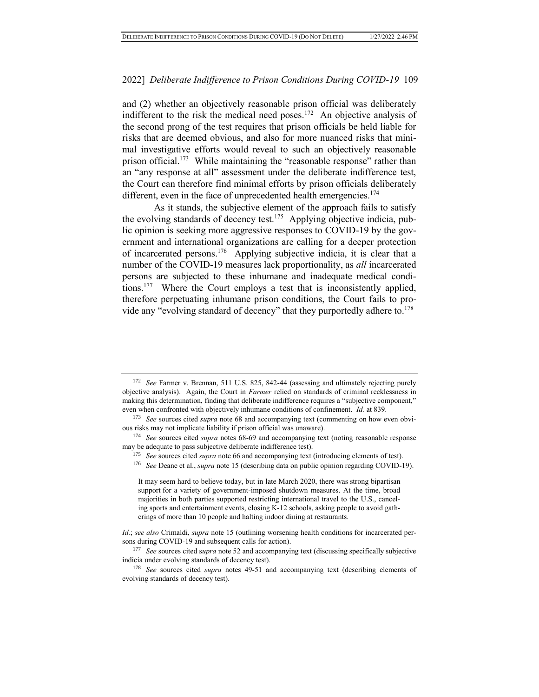and (2) whether an objectively reasonable prison official was deliberately indifferent to the risk the medical need poses.<sup>172</sup> An objective analysis of the second prong of the test requires that prison officials be held liable for risks that are deemed obvious, and also for more nuanced risks that minimal investigative efforts would reveal to such an objectively reasonable prison official.<sup>173</sup> While maintaining the "reasonable response" rather than an "any response at all" assessment under the deliberate indifference test, the Court can therefore find minimal efforts by prison officials deliberately different, even in the face of unprecedented health emergencies.<sup>174</sup>

As it stands, the subjective element of the approach fails to satisfy the evolving standards of decency test.<sup>175</sup> Applying objective indicia, public opinion is seeking more aggressive responses to COVID-19 by the government and international organizations are calling for a deeper protection of incarcerated persons.<sup>176</sup> Applying subjective indicia, it is clear that a number of the COVID-19 measures lack proportionality, as *all* incarcerated persons are subjected to these inhumane and inadequate medical conditions.<sup>177</sup> Where the Court employs a test that is inconsistently applied, therefore perpetuating inhumane prison conditions, the Court fails to provide any "evolving standard of decency" that they purportedly adhere to.<sup>178</sup>

- <sup>175</sup> *See* sources cited *supra* note 66 and accompanying text (introducing elements of test).
- <sup>176</sup> *See* Deane et al., *supra* note 15 (describing data on public opinion regarding COVID-19).

<sup>172</sup> *See* Farmer v. Brennan, 511 U.S. 825, 842-44 (assessing and ultimately rejecting purely objective analysis). Again, the Court in *Farmer* relied on standards of criminal recklessness in making this determination, finding that deliberate indifference requires a "subjective component," even when confronted with objectively inhumane conditions of confinement. *Id.* at 839.

<sup>173</sup> *See* sources cited *supra* note 68 and accompanying text (commenting on how even obvious risks may not implicate liability if prison official was unaware).

<sup>174</sup> *See* sources cited *supra* notes 68-69 and accompanying text (noting reasonable response may be adequate to pass subjective deliberate indifference test).

It may seem hard to believe today, but in late March 2020, there was strong bipartisan support for a variety of government-imposed shutdown measures. At the time, broad majorities in both parties supported restricting international travel to the U.S., canceling sports and entertainment events, closing K-12 schools, asking people to avoid gatherings of more than 10 people and halting indoor dining at restaurants.

*Id.*; *see also* Crimaldi, *supra* note 15 (outlining worsening health conditions for incarcerated persons during COVID-19 and subsequent calls for action).

<sup>&</sup>lt;sup>177</sup> *See* sources cited supra note 52 and accompanying text (discussing specifically subjective indicia under evolving standards of decency test).

<sup>178</sup> *See* sources cited *supra* notes 49-51 and accompanying text (describing elements of evolving standards of decency test).